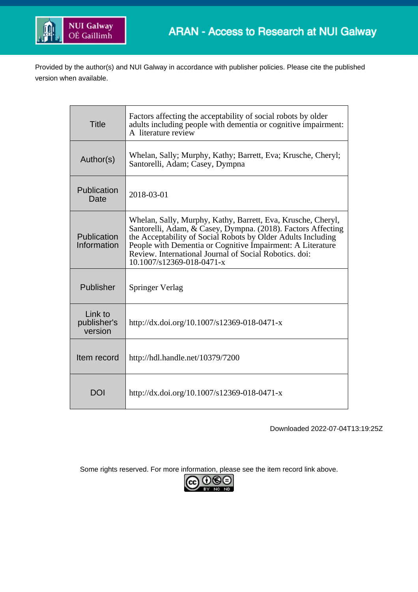

Provided by the author(s) and NUI Galway in accordance with publisher policies. Please cite the published version when available.

| <b>Title</b>                      | Factors affecting the acceptability of social robots by older<br>adults including people with dementia or cognitive impairment:<br>A literature review                                                                                                                                                                                              |
|-----------------------------------|-----------------------------------------------------------------------------------------------------------------------------------------------------------------------------------------------------------------------------------------------------------------------------------------------------------------------------------------------------|
| Author(s)                         | Whelan, Sally; Murphy, Kathy; Barrett, Eva; Krusche, Cheryl;<br>Santorelli, Adam; Casey, Dympna                                                                                                                                                                                                                                                     |
| Publication<br>Date               | 2018-03-01                                                                                                                                                                                                                                                                                                                                          |
| Publication<br>Information        | Whelan, Sally, Murphy, Kathy, Barrett, Eva, Krusche, Cheryl,<br>Santorelli, Adam, & Casey, Dympna. (2018). Factors Affecting<br>the Acceptability of Social Robots by Older Adults Including<br>People with Dementia or Cognitive Impairment: A Literature<br>Review. International Journal of Social Robotics. doi:<br>$10.1007/s12369-018-0471-x$ |
| Publisher                         | <b>Springer Verlag</b>                                                                                                                                                                                                                                                                                                                              |
| Link to<br>publisher's<br>version | http://dx.doi.org/10.1007/s12369-018-0471-x                                                                                                                                                                                                                                                                                                         |
| Item record                       | http://hdl.handle.net/10379/7200                                                                                                                                                                                                                                                                                                                    |
| DOI                               | http://dx.doi.org/10.1007/s12369-018-0471-x                                                                                                                                                                                                                                                                                                         |

Downloaded 2022-07-04T13:19:25Z

Some rights reserved. For more information, please see the item record link above.

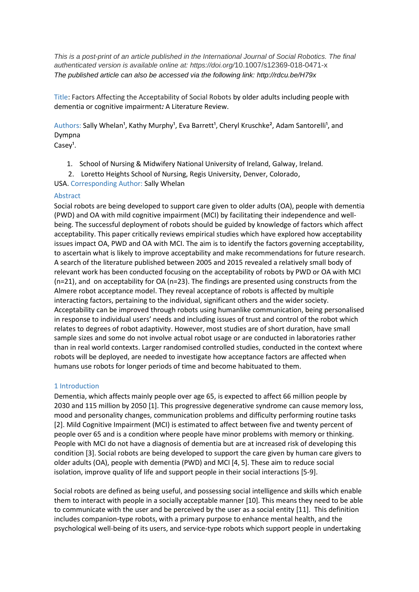*This is a post-print of an article published in the International Journal of Social Robotics. The final authenticated version is available online at: https://doi.org/*10.1007/s12369-018-0471-x *The published article can also be accessed via the following link: http://rdcu.be/H79x* 

Title: Factors Affecting the Acceptability of Social Robots by older adults including people with dementia or cognitive impairment*:* A Literature Review.

Authors: Sally Whelan<sup>1</sup>, Kathy Murphy<sup>1</sup>, Eva Barrett<sup>1</sup>, Cheryl Kruschke<sup>2</sup>, Adam Santorelli<sup>1</sup>, and Dympna

 $Casey<sup>1</sup>$ .

- 1. School of Nursing & Midwifery National University of Ireland, Galway, Ireland.
- 2. Loretto Heights School of Nursing, Regis University, Denver, Colorado,

USA. Corresponding Author: Sally Whelan

## Abstract

Social robots are being developed to support care given to older adults (OA), people with dementia (PWD) and OA with mild cognitive impairment (MCI) by facilitating their independence and wellbeing. The successful deployment of robots should be guided by knowledge of factors which affect acceptability. This paper critically reviews empirical studies which have explored how acceptability issues impact OA, PWD and OA with MCI. The aim is to identify the factors governing acceptability, to ascertain what is likely to improve acceptability and make recommendations for future research. A search of the literature published between 2005 and 2015 revealed a relatively small body of relevant work has been conducted focusing on the acceptability of robots by PWD or OA with MCI (n=21), and on acceptability for OA (n=23). The findings are presented using constructs from the Almere robot acceptance model. They reveal acceptance of robots is affected by multiple interacting factors, pertaining to the individual, significant others and the wider society. Acceptability can be improved through robots using humanlike communication, being personalised in response to individual users' needs and including issues of trust and control of the robot which relates to degrees of robot adaptivity. However, most studies are of short duration, have small sample sizes and some do not involve actual robot usage or are conducted in laboratories rather than in real world contexts. Larger randomised controlled studies, conducted in the context where robots will be deployed, are needed to investigate how acceptance factors are affected when humans use robots for longer periods of time and become habituated to them.

## 1 Introduction

Dementia, which affects mainly people over age 65, is expected to affect 66 million people by 2030 and 115 million by 2050 [1]. This progressive degenerative syndrome can cause memory loss, mood and personality changes, communication problems and difficulty performing routine tasks [2]. Mild Cognitive Impairment (MCI) is estimated to affect between five and twenty percent of people over 65 and is a condition where people have minor problems with memory or thinking. People with MCI do not have a diagnosis of dementia but are at increased risk of developing this condition [3]. Social robots are being developed to support the care given by human care givers to older adults (OA), people with dementia (PWD) and MCI [4, 5]. These aim to reduce social isolation, improve quality of life and support people in their social interactions [5-9].

Social robots are defined as being useful, and possessing social intelligence and skills which enable them to interact with people in a socially acceptable manner [10]. This means they need to be able to communicate with the user and be perceived by the user as a social entity [11]. This definition includes companion-type robots, with a primary purpose to enhance mental health, and the psychological well-being of its users, and service-type robots which support people in undertaking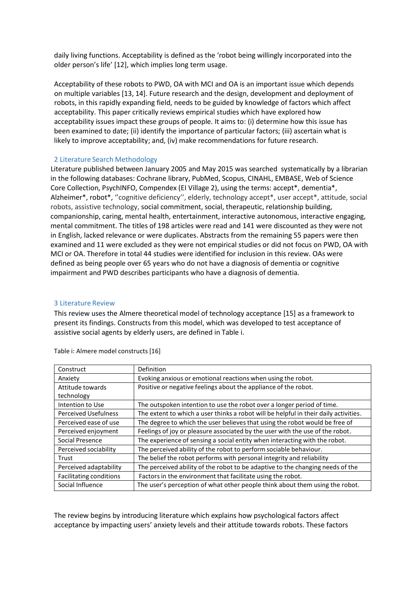daily living functions. Acceptability is defined as the 'robot being willingly incorporated into the older person's life' [12], which implies long term usage.

Acceptability of these robots to PWD, OA with MCI and OA is an important issue which depends on multiple variables [13, 14]. Future research and the design, development and deployment of robots, in this rapidly expanding field, needs to be guided by knowledge of factors which affect acceptability. This paper critically reviews empirical studies which have explored how acceptability issues impact these groups of people. It aims to: (i) determine how this issue has been examined to date; (ii) identify the importance of particular factors; (iii) ascertain what is likely to improve acceptability; and, (iv) make recommendations for future research.

## 2 Literature Search Methodology

Literature published between January 2005 and May 2015 was searched systematically by a librarian in the following databases: Cochrane library, PubMed, Scopus, CINAHL, EMBASE, Web of Science Core Collection, PsychINFO, Compendex (EI Village 2), using the terms: accept\*, dementia\*, Alzheimer\*, robot\*, "cognitive deficiency", elderly, technology accept\*, user accept\*, attitude, social robots, assistive technology, social commitment, social, therapeutic, relationship building, companionship, caring, mental health, entertainment, interactive autonomous, interactive engaging, mental commitment. The titles of 198 articles were read and 141 were discounted as they were not in English, lacked relevance or were duplicates. Abstracts from the remaining 55 papers were then examined and 11 were excluded as they were not empirical studies or did not focus on PWD, OA with MCI or OA. Therefore in total 44 studies were identified for inclusion in this review. OAs were defined as being people over 65 years who do not have a diagnosis of dementia or cognitive impairment and PWD describes participants who have a diagnosis of dementia.

### 3 Literature Review

This review uses the Almere theoretical model of technology acceptance [15] as a framework to present its findings. Constructs from this model, which was developed to test acceptance of assistive social agents by elderly users, are defined in Table i.

| Construct                      | Definition                                                                           |
|--------------------------------|--------------------------------------------------------------------------------------|
| Anxiety                        | Evoking anxious or emotional reactions when using the robot.                         |
| Attitude towards               | Positive or negative feelings about the appliance of the robot.                      |
| technology                     |                                                                                      |
| Intention to Use               | The outspoken intention to use the robot over a longer period of time.               |
| <b>Perceived Usefulness</b>    | The extent to which a user thinks a robot will be helpful in their daily activities. |
| Perceived ease of use          | The degree to which the user believes that using the robot would be free of          |
| Perceived enjoyment            | Feelings of joy or pleasure associated by the user with the use of the robot.        |
| Social Presence                | The experience of sensing a social entity when interacting with the robot.           |
| Perceived sociability          | The perceived ability of the robot to perform sociable behaviour.                    |
| Trust                          | The belief the robot performs with personal integrity and reliability                |
| Perceived adaptability         | The perceived ability of the robot to be adaptive to the changing needs of the       |
| <b>Facilitating conditions</b> | Factors in the environment that facilitate using the robot.                          |
| Social Influence               | The user's perception of what other people think about them using the robot.         |

Table i: Almere model constructs [16]

The review begins by introducing literature which explains how psychological factors affect acceptance by impacting users' anxiety levels and their attitude towards robots. These factors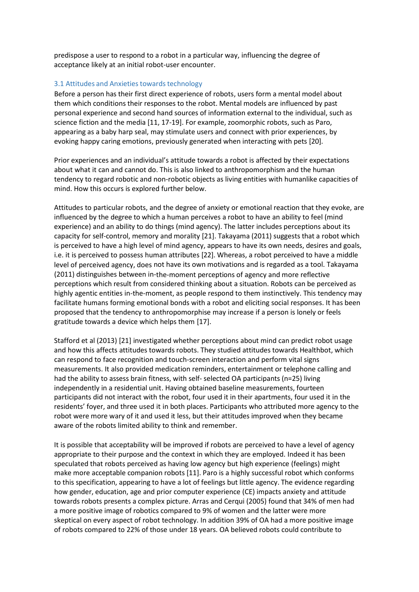predispose a user to respond to a robot in a particular way, influencing the degree of acceptance likely at an initial robot-user encounter.

# 3.1 Attitudes and Anxieties towards technology

Before a person has their first direct experience of robots, users form a mental model about them which conditions their responses to the robot. Mental models are influenced by past personal experience and second hand sources of information external to the individual, such as science fiction and the media [11, 17-19]. For example, zoomorphic robots, such as Paro, appearing as a baby harp seal, may stimulate users and connect with prior experiences, by evoking happy caring emotions, previously generated when interacting with pets [20].

Prior experiences and an individual's attitude towards a robot is affected by their expectations about what it can and cannot do. This is also linked to anthropomorphism and the human tendency to regard robotic and non-robotic objects as living entities with humanlike capacities of mind. How this occurs is explored further below.

Attitudes to particular robots, and the degree of anxiety or emotional reaction that they evoke, are influenced by the degree to which a human perceives a robot to have an ability to feel (mind experience) and an ability to do things (mind agency). The latter includes perceptions about its capacity for self-control, memory and morality [21]. Takayama (2011) suggests that a robot which is perceived to have a high level of mind agency, appears to have its own needs, desires and goals, i.e. it is perceived to possess human attributes [22]. Whereas, a robot perceived to have a middle level of perceived agency, does not have its own motivations and is regarded as a tool. Takayama (2011) distinguishes between in-the-moment perceptions of agency and more reflective perceptions which result from considered thinking about a situation. Robots can be perceived as highly agentic entities in-the-moment, as people respond to them instinctively. This tendency may facilitate humans forming emotional bonds with a robot and eliciting social responses. It has been proposed that the tendency to anthropomorphise may increase if a person is lonely or feels gratitude towards a device which helps them [17].

Stafford et al (2013) [21] investigated whether perceptions about mind can predict robot usage and how this affects attitudes towards robots. They studied attitudes towards Healthbot, which can respond to face recognition and touch-screen interaction and perform vital signs measurements. It also provided medication reminders, entertainment or telephone calling and had the ability to assess brain fitness, with self- selected OA participants (n=25) living independently in a residential unit. Having obtained baseline measurements, fourteen participants did not interact with the robot, four used it in their apartments, four used it in the residents' foyer, and three used it in both places. Participants who attributed more agency to the robot were more wary of it and used it less, but their attitudes improved when they became aware of the robots limited ability to think and remember.

It is possible that acceptability will be improved if robots are perceived to have a level of agency appropriate to their purpose and the context in which they are employed. Indeed it has been speculated that robots perceived as having low agency but high experience (feelings) might make more acceptable companion robots [11]. Paro is a highly successful robot which conforms to this specification, appearing to have a lot of feelings but little agency. The evidence regarding how gender, education, age and prior computer experience (CE) impacts anxiety and attitude towards robots presents a complex picture. Arras and Cerqui (2005) found that 34% of men had a more positive image of robotics compared to 9% of women and the latter were more skeptical on every aspect of robot technology. In addition 39% of OA had a more positive image of robots compared to 22% of those under 18 years. OA believed robots could contribute to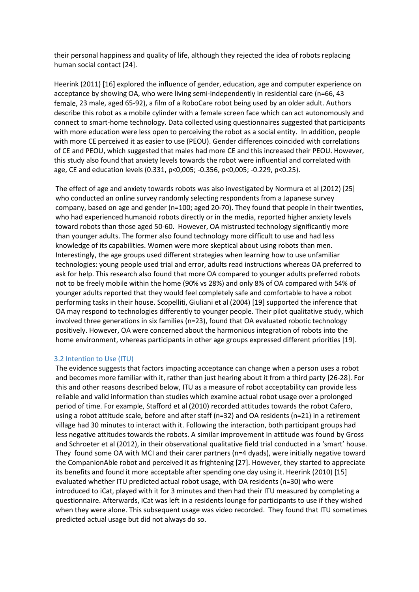their personal happiness and quality of life, although they rejected the idea of robots replacing human social contact [24].

Heerink (2011) [16] explored the influence of gender, education, age and computer experience on acceptance by showing OA, who were living semi-independently in residential care (n=66, 43 female, 23 male, aged 65-92), a film of a RoboCare robot being used by an older adult. Authors describe this robot as a mobile cylinder with a female screen face which can act autonomously and connect to smart-home technology. Data collected using questionnaires suggested that participants with more education were less open to perceiving the robot as a social entity. In addition, people with more CE perceived it as easier to use (PEOU). Gender differences coincided with correlations of CE and PEOU, which suggested that males had more CE and this increased their PEOU. However, this study also found that anxiety levels towards the robot were influential and correlated with age, CE and education levels (0.331, p<0,005; -0.356, p<0,005; -0.229, p<0.25).

The effect of age and anxiety towards robots was also investigated by Normura et al (2012) [25] who conducted an online survey randomly selecting respondents from a Japanese survey company, based on age and gender (n=100; aged 20-70). They found that people in their twenties, who had experienced humanoid robots directly or in the media, reported higher anxiety levels toward robots than those aged 50-60. However, OA mistrusted technology significantly more than younger adults. The former also found technology more difficult to use and had less knowledge of its capabilities. Women were more skeptical about using robots than men. Interestingly, the age groups used different strategies when learning how to use unfamiliar technologies: young people used trial and error, adults read instructions whereas OA preferred to ask for help. This research also found that more OA compared to younger adults preferred robots not to be freely mobile within the home (90% vs 28%) and only 8% of OA compared with 54% of younger adults reported that they would feel completely safe and comfortable to have a robot performing tasks in their house. Scopelliti, Giuliani et al (2004) [19] supported the inference that OA may respond to technologies differently to younger people. Their pilot qualitative study, which involved three generations in six families (n=23), found that OA evaluated robotic technology positively. However, OA were concerned about the harmonious integration of robots into the home environment, whereas participants in other age groups expressed different priorities [19].

### 3.2 Intention to Use (ITU)

The evidence suggests that factors impacting acceptance can change when a person uses a robot and becomes more familiar with it, rather than just hearing about it from a third party [26-28]. For this and other reasons described below, ITU as a measure of robot acceptability can provide less reliable and valid information than studies which examine actual robot usage over a prolonged period of time. For example, Stafford et al (2010) recorded attitudes towards the robot Cafero, using a robot attitude scale, before and after staff (n=32) and OA residents (n=21) in a retirement village had 30 minutes to interact with it. Following the interaction, both participant groups had less negative attitudes towards the robots. A similar improvement in attitude was found by Gross and Schroeter et al (2012), in their observational qualitative field trial conducted in a 'smart' house. They found some OA with MCI and their carer partners (n=4 dyads), were initially negative toward the CompanionAble robot and perceived it as frightening [27]. However, they started to appreciate its benefits and found it more acceptable after spending one day using it. Heerink (2010) [15] evaluated whether ITU predicted actual robot usage, with OA residents (n=30) who were introduced to iCat, played with it for 3 minutes and then had their ITU measured by completing a questionnaire. Afterwards, iCat was left in a residents lounge for participants to use if they wished when they were alone. This subsequent usage was video recorded. They found that ITU sometimes predicted actual usage but did not always do so.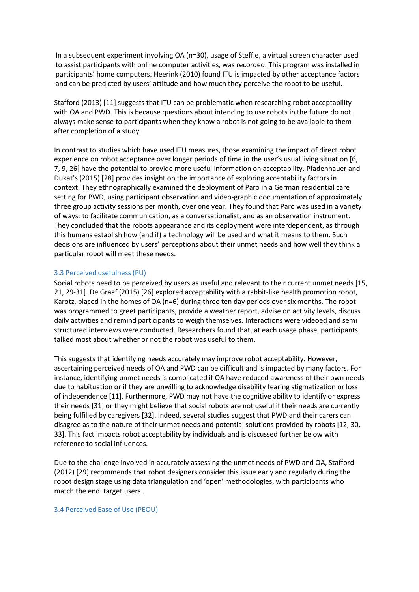In a subsequent experiment involving OA (n=30), usage of Steffie, a virtual screen character used to assist participants with online computer activities, was recorded. This program was installed in participants' home computers. Heerink (2010) found ITU is impacted by other acceptance factors and can be predicted by users' attitude and how much they perceive the robot to be useful.

Stafford (2013) [11] suggests that ITU can be problematic when researching robot acceptability with OA and PWD. This is because questions about intending to use robots in the future do not always make sense to participants when they know a robot is not going to be available to them after completion of a study.

In contrast to studies which have used ITU measures, those examining the impact of direct robot experience on robot acceptance over longer periods of time in the user's usual living situation [6, 7, 9, 26] have the potential to provide more useful information on acceptability. Pfadenhauer and Dukat's (2015) [28] provides insight on the importance of exploring acceptability factors in context. They ethnographically examined the deployment of Paro in a German residential care setting for PWD, using participant observation and video-graphic documentation of approximately three group activity sessions per month, over one year. They found that Paro was used in a variety of ways: to facilitate communication, as a conversationalist, and as an observation instrument. They concluded that the robots appearance and its deployment were interdependent, as through this humans establish how (and if) a technology will be used and what it means to them. Such decisions are influenced by users' perceptions about their unmet needs and how well they think a particular robot will meet these needs.

## 3.3 Perceived usefulness(PU)

Social robots need to be perceived by users as useful and relevant to their current unmet needs [15, 21, 29-31]. De Graaf (2015) [26] explored acceptability with a rabbit-like health promotion robot, Karotz, placed in the homes of OA (n=6) during three ten day periods over six months. The robot was programmed to greet participants, provide a weather report, advise on activity levels, discuss daily activities and remind participants to weigh themselves. Interactions were videoed and semi structured interviews were conducted. Researchers found that, at each usage phase, participants talked most about whether or not the robot was useful to them.

This suggests that identifying needs accurately may improve robot acceptability. However, ascertaining perceived needs of OA and PWD can be difficult and is impacted by many factors. For instance, identifying unmet needs is complicated if OA have reduced awareness of their own needs due to habituation or if they are unwilling to acknowledge disability fearing stigmatization or loss of independence [11]. Furthermore, PWD may not have the cognitive ability to identify or express their needs [31] or they might believe that social robots are not useful if their needs are currently being fulfilled by caregivers [32]. Indeed, several studies suggest that PWD and their carers can disagree as to the nature of their unmet needs and potential solutions provided by robots [12, 30, 33]. This fact impacts robot acceptability by individuals and is discussed further below with reference to social influences.

Due to the challenge involved in accurately assessing the unmet needs of PWD and OA, Stafford (2012) [29] recommends that robot designers consider this issue early and regularly during the robot design stage using data triangulation and 'open' methodologies, with participants who match the end target users .

### 3.4 Perceived Ease of Use (PEOU)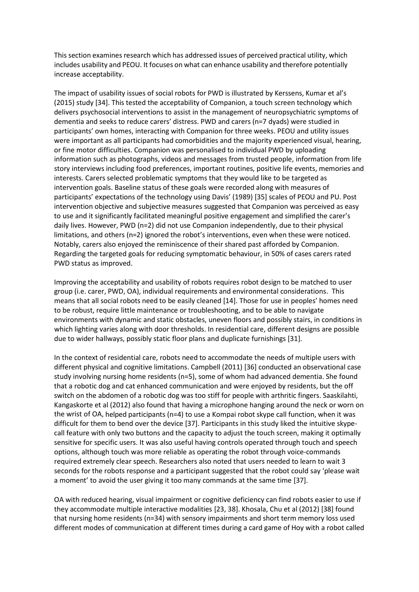This section examines research which has addressed issues of perceived practical utility, which includes usability and PEOU. It focuses on what can enhance usability and therefore potentially increase acceptability.

The impact of usability issues of social robots for PWD is illustrated by Kerssens, Kumar et al's (2015) study [34]. This tested the acceptability of Companion, a touch screen technology which delivers psychosocial interventions to assist in the management of neuropsychiatric symptoms of dementia and seeks to reduce carers' distress. PWD and carers (n=7 dyads) were studied in participants' own homes, interacting with Companion for three weeks. PEOU and utility issues were important as all participants had comorbidities and the majority experienced visual, hearing, or fine motor difficulties. Companion was personalised to individual PWD by uploading information such as photographs, videos and messages from trusted people, information from life story interviews including food preferences, important routines, positive life events, memories and interests. Carers selected problematic symptoms that they would like to be targeted as intervention goals. Baseline status of these goals were recorded along with measures of participants' expectations of the technology using Davis' (1989) [35] scales of PEOU and PU. Post intervention objective and subjective measures suggested that Companion was perceived as easy to use and it significantly facilitated meaningful positive engagement and simplified the carer's daily lives. However, PWD (n=2) did not use Companion independently, due to their physical limitations, and others (n=2) ignored the robot's interventions, even when these were noticed. Notably, carers also enjoyed the reminiscence of their shared past afforded by Companion. Regarding the targeted goals for reducing symptomatic behaviour, in 50% of cases carers rated PWD status as improved.

Improving the acceptability and usability of robots requires robot design to be matched to user group (i.e. carer, PWD, OA), individual requirements and environmental considerations. This means that all social robots need to be easily cleaned [14]. Those for use in peoples' homes need to be robust, require little maintenance or troubleshooting, and to be able to navigate environments with dynamic and static obstacles, uneven floors and possibly stairs, in conditions in which lighting varies along with door thresholds. In residential care, different designs are possible due to wider hallways, possibly static floor plans and duplicate furnishings [31].

In the context of residential care, robots need to accommodate the needs of multiple users with different physical and cognitive limitations. Campbell (2011) [36] conducted an observational case study involving nursing home residents (n=5), some of whom had advanced dementia. She found that a robotic dog and cat enhanced communication and were enjoyed by residents, but the off switch on the abdomen of a robotic dog was too stiff for people with arthritic fingers. Saaskilahti, Kangaskorte et al (2012) also found that having a microphone hanging around the neck or worn on the wrist of OA, helped participants (n=4) to use a Kompai robot skype call function, when it was difficult for them to bend over the device [37]. Participants in this study liked the intuitive skypecall feature with only two buttons and the capacity to adjust the touch screen, making it optimally sensitive for specific users. It was also useful having controls operated through touch and speech options, although touch was more reliable as operating the robot through voice-commands required extremely clear speech. Researchers also noted that users needed to learn to wait 3 seconds for the robots response and a participant suggested that the robot could say 'please wait a moment' to avoid the user giving it too many commands at the same time [37].

OA with reduced hearing, visual impairment or cognitive deficiency can find robots easier to use if they accommodate multiple interactive modalities [23, 38]. Khosala, Chu et al (2012) [38] found that nursing home residents (n=34) with sensory impairments and short term memory loss used different modes of communication at different times during a card game of Hoy with a robot called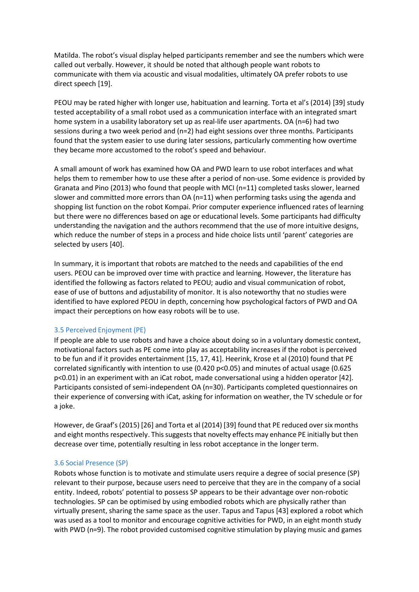Matilda. The robot's visual display helped participants remember and see the numbers which were called out verbally. However, it should be noted that although people want robots to communicate with them via acoustic and visual modalities, ultimately OA prefer robots to use direct speech [19].

PEOU may be rated higher with longer use, habituation and learning. Torta et al's (2014) [39] study tested acceptability of a small robot used as a communication interface with an integrated smart home system in a usability laboratory set up as real-life user apartments. OA (n=6) had two sessions during a two week period and (n=2) had eight sessions over three months. Participants found that the system easier to use during later sessions, particularly commenting how overtime they became more accustomed to the robot's speed and behaviour.

A small amount of work has examined how OA and PWD learn to use robot interfaces and what helps them to remember how to use these after a period of non-use. Some evidence is provided by Granata and Pino (2013) who found that people with MCI (n=11) completed tasks slower, learned slower and committed more errors than OA (n=11) when performing tasks using the agenda and shopping list function on the robot Kompai. Prior computer experience influenced rates of learning but there were no differences based on age or educational levels. Some participants had difficulty understanding the navigation and the authors recommend that the use of more intuitive designs, which reduce the number of steps in a process and hide choice lists until 'parent' categories are selected by users [40].

In summary, it is important that robots are matched to the needs and capabilities of the end users. PEOU can be improved over time with practice and learning. However, the literature has identified the following as factors related to PEOU; audio and visual communication of robot, ease of use of buttons and adjustability of monitor. It is also noteworthy that no studies were identified to have explored PEOU in depth, concerning how psychological factors of PWD and OA impact their perceptions on how easy robots will be to use.

## 3.5 Perceived Enjoyment (PE)

If people are able to use robots and have a choice about doing so in a voluntary domestic context, motivational factors such as PE come into play as acceptability increases if the robot is perceived to be fun and if it provides entertainment [15, 17, 41]. Heerink, Krose et al (2010) found that PE correlated significantly with intention to use (0.420 p<0.05) and minutes of actual usage (0.625 p<0.01) in an experiment with an iCat robot, made conversational using a hidden operator [42]. Participants consisted of semi-independent OA (n=30). Participants completed questionnaires on their experience of conversing with iCat, asking for information on weather, the TV schedule or for a joke.

However, de Graaf's (2015) [26] and Torta et al (2014) [39] found that PE reduced oversix months and eight months respectively. This suggests that novelty effects may enhance PE initially but then decrease over time, potentially resulting in less robot acceptance in the longer term.

### 3.6 Social Presence (SP)

Robots whose function is to motivate and stimulate users require a degree of social presence (SP) relevant to their purpose, because users need to perceive that they are in the company of a social entity. Indeed, robots' potential to possess SP appears to be their advantage over non-robotic technologies. SP can be optimised by using embodied robots which are physically rather than virtually present, sharing the same space as the user. Tapus and Tapus [43] explored a robot which was used as a tool to monitor and encourage cognitive activities for PWD, in an eight month study with PWD (n=9). The robot provided customised cognitive stimulation by playing music and games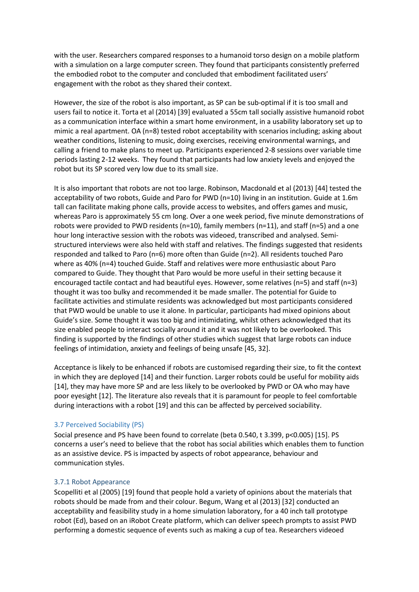with the user. Researchers compared responses to a humanoid torso design on a mobile platform with a simulation on a large computer screen. They found that participants consistently preferred the embodied robot to the computer and concluded that embodiment facilitated users' engagement with the robot as they shared their context.

However, the size of the robot is also important, as SP can be sub-optimal if it is too small and users fail to notice it. Torta et al (2014) [39] evaluated a 55cm tall socially assistive humanoid robot as a communication interface within a smart home environment, in a usability laboratory set up to mimic a real apartment. OA (n=8) tested robot acceptability with scenarios including; asking about weather conditions, listening to music, doing exercises, receiving environmental warnings, and calling a friend to make plans to meet up. Participants experienced 2-8 sessions over variable time periods lasting 2-12 weeks. They found that participants had low anxiety levels and enjoyed the robot but its SP scored very low due to its small size.

It is also important that robots are not too large. Robinson, Macdonald et al (2013) [44] tested the acceptability of two robots, Guide and Paro for PWD (n=10) living in an institution. Guide at 1.6m tall can facilitate making phone calls, provide access to websites, and offers games and music, whereas Paro is approximately 55 cm long. Over a one week period, five minute demonstrations of robots were provided to PWD residents (n=10), family members (n=11), and staff (n=5) and a one hour long interactive session with the robots was videoed, transcribed and analysed. Semistructured interviews were also held with staff and relatives. The findings suggested that residents responded and talked to Paro (n=6) more often than Guide (n=2). All residents touched Paro where as 40% (n=4) touched Guide. Staff and relatives were more enthusiastic about Paro compared to Guide. They thought that Paro would be more useful in their setting because it encouraged tactile contact and had beautiful eyes. However, some relatives (n=5) and staff (n=3) thought it was too bulky and recommended it be made smaller. The potential for Guide to facilitate activities and stimulate residents was acknowledged but most participants considered that PWD would be unable to use it alone. In particular, participants had mixed opinions about Guide's size. Some thought it was too big and intimidating, whilst others acknowledged that its size enabled people to interact socially around it and it was not likely to be overlooked. This finding is supported by the findings of other studies which suggest that large robots can induce feelings of intimidation, anxiety and feelings of being unsafe [45, 32].

Acceptance is likely to be enhanced if robots are customised regarding their size, to fit the context in which they are deployed [14] and their function. Larger robots could be useful for mobility aids [14], they may have more SP and are less likely to be overlooked by PWD or OA who may have poor eyesight [12]. The literature also reveals that it is paramount for people to feel comfortable during interactions with a robot [19] and this can be affected by perceived sociability.

# 3.7 Perceived Sociability (PS)

Social presence and PS have been found to correlate (beta 0.540, t 3.399, p<0.005) [15]. PS concerns a user's need to believe that the robot has social abilities which enables them to function as an assistive device. PS is impacted by aspects of robot appearance, behaviour and communication styles.

# 3.7.1 Robot Appearance

Scopelliti et al (2005) [19] found that people hold a variety of opinions about the materials that robots should be made from and their colour. Begum, Wang et al (2013) [32] conducted an acceptability and feasibility study in a home simulation laboratory, for a 40 inch tall prototype robot (Ed), based on an iRobot Create platform, which can deliver speech prompts to assist PWD performing a domestic sequence of events such as making a cup of tea. Researchers videoed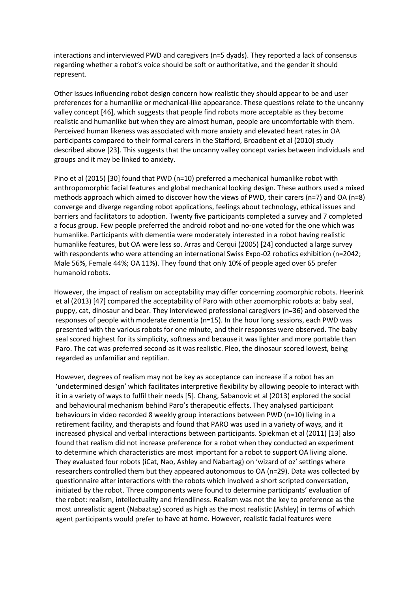interactions and interviewed PWD and caregivers (n=5 dyads). They reported a lack of consensus regarding whether a robot's voice should be soft or authoritative, and the gender it should represent.

Other issues influencing robot design concern how realistic they should appear to be and user preferences for a humanlike or mechanical-like appearance. These questions relate to the uncanny valley concept [46], which suggests that people find robots more acceptable as they become realistic and humanlike but when they are almost human, people are uncomfortable with them. Perceived human likeness was associated with more anxiety and elevated heart rates in OA participants compared to their formal carers in the Stafford, Broadbent et al (2010) study described above [23]. This suggests that the uncanny valley concept varies between individuals and groups and it may be linked to anxiety.

Pino et al (2015) [30] found that PWD (n=10) preferred a mechanical humanlike robot with anthropomorphic facial features and global mechanical looking design. These authors used a mixed methods approach which aimed to discover how the views of PWD, their carers (n=7) and OA (n=8) converge and diverge regarding robot applications, feelings about technology, ethical issues and barriers and facilitators to adoption. Twenty five participants completed a survey and 7 completed a focus group. Few people preferred the android robot and no-one voted for the one which was humanlike. Participants with dementia were moderately interested in a robot having realistic humanlike features, but OA were less so. Arras and Cerqui (2005) [24] conducted a large survey with respondents who were attending an international Swiss Expo-02 robotics exhibition (n=2042; Male 56%, Female 44%; OA 11%). They found that only 10% of people aged over 65 prefer humanoid robots.

However, the impact of realism on acceptability may differ concerning zoomorphic robots. Heerink et al (2013) [47] compared the acceptability of Paro with other zoomorphic robots a: baby seal, puppy, cat, dinosaur and bear. They interviewed professional caregivers (n=36) and observed the responses of people with moderate dementia (n=15). In the hour long sessions, each PWD was presented with the various robots for one minute, and their responses were observed. The baby seal scored highest for its simplicity, softness and because it was lighter and more portable than Paro. The cat was preferred second as it was realistic. Pleo, the dinosaur scored lowest, being regarded as unfamiliar and reptilian.

However, degrees of realism may not be key as acceptance can increase if a robot has an 'undetermined design' which facilitates interpretive flexibility by allowing people to interact with it in a variety of ways to fulfil their needs [5]. Chang, Sabanovic et al (2013) explored the social and behavioural mechanism behind Paro's therapeutic effects. They analysed participant behaviours in video recorded 8 weekly group interactions between PWD (n=10) living in a retirement facility, and therapists and found that PARO was used in a variety of ways, and it increased physical and verbal interactions between participants. Spiekman et al (2011) [13] also found that realism did not increase preference for a robot when they conducted an experiment to determine which characteristics are most important for a robot to support OA living alone. They evaluated four robots (iCat, Nao, Ashley and Nabartag) on 'wizard of oz' settings where researchers controlled them but they appeared autonomous to OA (n=29). Data was collected by questionnaire after interactions with the robots which involved a short scripted conversation, initiated by the robot. Three components were found to determine participants' evaluation of the robot: realism, intellectuality and friendliness. Realism was not the key to preference as the most unrealistic agent (Nabaztag) scored as high as the most realistic (Ashley) in terms of which agent participants would prefer to have at home. However, realistic facial features were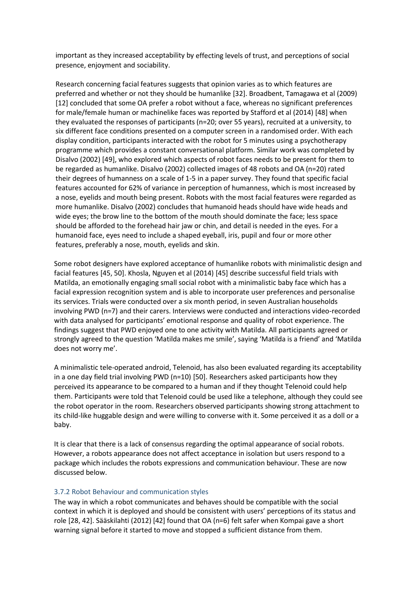important as they increased acceptability by effecting levels of trust, and perceptions of social presence, enjoyment and sociability.

Research concerning facial features suggests that opinion varies as to which features are preferred and whether or not they should be humanlike [32]. Broadbent, Tamagawa et al (2009) [12] concluded that some OA prefer a robot without a face, whereas no significant preferences for male/female human or machinelike faces was reported by Stafford et al (2014) [48] when they evaluated the responses of participants (n=20; over 55 years), recruited at a university, to six different face conditions presented on a computer screen in a randomised order. With each display condition, participants interacted with the robot for 5 minutes using a psychotherapy programme which provides a constant conversational platform. Similar work was completed by Disalvo (2002) [49], who explored which aspects of robot faces needs to be present for them to be regarded as humanlike. Disalvo (2002) collected images of 48 robots and OA (n=20) rated their degrees of humanness on a scale of 1-5 in a paper survey. They found that specific facial features accounted for 62% of variance in perception of humanness, which is most increased by a nose, eyelids and mouth being present. Robots with the most facial features were regarded as more humanlike. Disalvo (2002) concludes that humanoid heads should have wide heads and wide eyes; the brow line to the bottom of the mouth should dominate the face; less space should be afforded to the forehead hair jaw or chin, and detail is needed in the eyes. For a humanoid face, eyes need to include a shaped eyeball, iris, pupil and four or more other features, preferably a nose, mouth, eyelids and skin.

Some robot designers have explored acceptance of humanlike robots with minimalistic design and facial features [45, 50]. Khosla, Nguyen et al (2014) [45] describe successful field trials with Matilda, an emotionally engaging small social robot with a minimalistic baby face which has a facial expression recognition system and is able to incorporate user preferences and personalise its services. Trials were conducted over a six month period, in seven Australian households involving PWD (n=7) and their carers. Interviews were conducted and interactions video-recorded with data analysed for participants' emotional response and quality of robot experience. The findings suggest that PWD enjoyed one to one activity with Matilda. All participants agreed or strongly agreed to the question 'Matilda makes me smile', saying 'Matilda is a friend' and 'Matilda does not worry me'.

A minimalistic tele-operated android, Telenoid, has also been evaluated regarding its acceptability in a one day field trial involving PWD ( $n=10$ ) [50]. Researchers asked participants how they perceived its appearance to be compared to a human and if they thought Telenoid could help them. Participants were told that Telenoid could be used like a telephone, although they could see the robot operator in the room. Researchers observed participants showing strong attachment to its child-like huggable design and were willing to converse with it. Some perceived it as a doll or a baby.

It is clear that there is a lack of consensus regarding the optimal appearance of social robots. However, a robots appearance does not affect acceptance in isolation but users respond to a package which includes the robots expressions and communication behaviour. These are now discussed below.

## 3.7.2 Robot Behaviour and communication styles

The way in which a robot communicates and behaves should be compatible with the social context in which it is deployed and should be consistent with users' perceptions of its status and role [28, 42]. Sääskilahti (2012) [42] found that OA (n=6) felt safer when Kompai gave a short warning signal before it started to move and stopped a sufficient distance from them.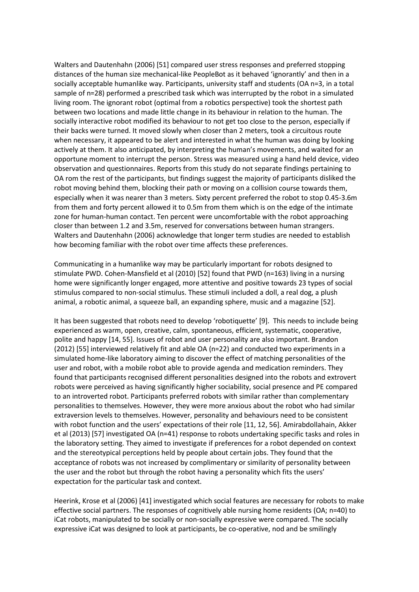Walters and Dautenhahn (2006) [51] compared user stress responses and preferred stopping distances of the human size mechanical-like PeopleBot as it behaved 'ignorantly' and then in a socially acceptable humanlike way. Participants, university staff and students (OA n=3, in a total sample of n=28) performed a prescribed task which was interrupted by the robot in a simulated living room. The ignorant robot (optimal from a robotics perspective) took the shortest path between two locations and made little change in its behaviour in relation to the human. The socially interactive robot modified its behaviour to not get too close to the person, especially if their backs were turned. It moved slowly when closer than 2 meters, took a circuitous route when necessary, it appeared to be alert and interested in what the human was doing by looking actively at them. It also anticipated, by interpreting the human's movements, and waited for an opportune moment to interrupt the person. Stress was measured using a hand held device, video observation and questionnaires. Reports from this study do not separate findings pertaining to OA rom the rest of the participants, but findings suggest the majority of participants disliked the robot moving behind them, blocking their path or moving on a collision course towards them, especially when it was nearer than 3 meters. Sixty percent preferred the robot to stop 0.45-3.6m from them and forty percent allowed it to 0.5m from them which is on the edge of the intimate zone for human-human contact. Ten percent were uncomfortable with the robot approaching closer than between 1.2 and 3.5m, reserved for conversations between human strangers. Walters and Dautenhahn (2006) acknowledge that longer term studies are needed to establish how becoming familiar with the robot over time affects these preferences.

Communicating in a humanlike way may be particularly important for robots designed to stimulate PWD. Cohen-Mansfield et al (2010) [52] found that PWD (n=163) living in a nursing home were significantly longer engaged, more attentive and positive towards 23 types of social stimulus compared to non-social stimulus. These stimuli included a doll, a real dog, a plush animal, a robotic animal, a squeeze ball, an expanding sphere, music and a magazine [52].

It has been suggested that robots need to develop 'robotiquette' [9]. This needs to include being experienced as warm, open, creative, calm, spontaneous, efficient, systematic, cooperative, polite and happy [14, 55]. Issues of robot and user personality are also important. Brandon (2012) [55] interviewed relatively fit and able OA (n=22) and conducted two experiments in a simulated home-like laboratory aiming to discover the effect of matching personalities of the user and robot, with a mobile robot able to provide agenda and medication reminders. They found that participants recognised different personalities designed into the robots and extrovert robots were perceived as having significantly higher sociability, social presence and PE compared to an introverted robot. Participants preferred robots with similar rather than complementary personalities to themselves. However, they were more anxious about the robot who had similar extraversion levels to themselves. However, personality and behaviours need to be consistent with robot function and the users' expectations of their role [11, 12, 56]. Amirabdollahain, Akker et al (2013) [57] investigated OA (n=41) response to robots undertaking specific tasks and roles in the laboratory setting. They aimed to investigate if preferences for a robot depended on context and the stereotypical perceptions held by people about certain jobs. They found that the acceptance of robots was not increased by complimentary or similarity of personality between the user and the robot but through the robot having a personality which fits the users' expectation for the particular task and context.

Heerink, Krose et al (2006) [41] investigated which social features are necessary for robots to make effective social partners. The responses of cognitively able nursing home residents (OA; n=40) to iCat robots, manipulated to be socially or non-socially expressive were compared. The socially expressive iCat was designed to look at participants, be co-operative, nod and be smilingly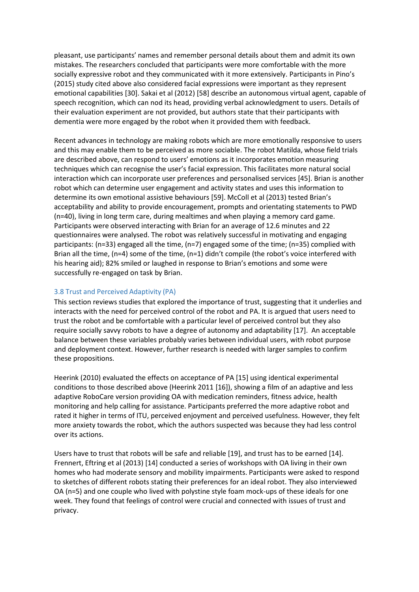pleasant, use participants' names and remember personal details about them and admit its own mistakes. The researchers concluded that participants were more comfortable with the more socially expressive robot and they communicated with it more extensively. Participants in Pino's (2015) study cited above also considered facial expressions were important as they represent emotional capabilities [30]. Sakai et al (2012) [58] describe an autonomous virtual agent, capable of speech recognition, which can nod its head, providing verbal acknowledgment to users. Details of their evaluation experiment are not provided, but authors state that their participants with dementia were more engaged by the robot when it provided them with feedback.

Recent advances in technology are making robots which are more emotionally responsive to users and this may enable them to be perceived as more sociable. The robot Matilda, whose field trials are described above, can respond to users' emotions as it incorporates emotion measuring techniques which can recognise the user's facial expression. This facilitates more natural social interaction which can incorporate user preferences and personalised services [45]. Brian is another robot which can determine user engagement and activity states and uses this information to determine its own emotional assistive behaviours [59]. McColl et al (2013) tested Brian's acceptability and ability to provide encouragement, prompts and orientating statements to PWD (n=40), living in long term care, during mealtimes and when playing a memory card game. Participants were observed interacting with Brian for an average of 12.6 minutes and 22 questionnaires were analysed. The robot was relatively successful in motivating and engaging participants: (n=33) engaged all the time, (n=7) engaged some of the time; (n=35) complied with Brian all the time, (n=4) some of the time, (n=1) didn't compile (the robot's voice interfered with his hearing aid); 82% smiled or laughed in response to Brian's emotions and some were successfully re-engaged on task by Brian.

# 3.8 Trust and Perceived Adaptivity (PA)

This section reviews studies that explored the importance of trust, suggesting that it underlies and interacts with the need for perceived control of the robot and PA. It is argued that users need to trust the robot and be comfortable with a particular level of perceived control but they also require socially savvy robots to have a degree of autonomy and adaptability [17]. An acceptable balance between these variables probably varies between individual users, with robot purpose and deployment context. However, further research is needed with larger samples to confirm these propositions.

Heerink (2010) evaluated the effects on acceptance of PA [15] using identical experimental conditions to those described above (Heerink 2011 [16]), showing a film of an adaptive and less adaptive RoboCare version providing OA with medication reminders, fitness advice, health monitoring and help calling for assistance. Participants preferred the more adaptive robot and rated it higher in terms of ITU, perceived enjoyment and perceived usefulness. However, they felt more anxiety towards the robot, which the authors suspected was because they had less control over its actions.

Users have to trust that robots will be safe and reliable [19], and trust has to be earned [14]. Frennert, Eftring et al (2013) [14] conducted a series of workshops with OA living in their own homes who had moderate sensory and mobility impairments. Participants were asked to respond to sketches of different robots stating their preferences for an ideal robot. They also interviewed OA (n=5) and one couple who lived with polystine style foam mock-ups of these ideals for one week. They found that feelings of control were crucial and connected with issues of trust and privacy.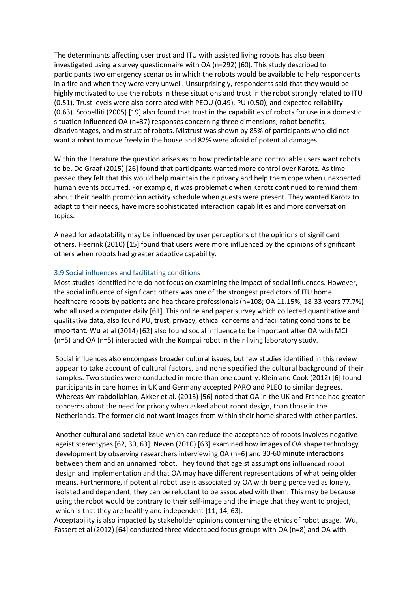The determinants affecting user trust and ITU with assisted living robots has also been investigated using a survey questionnaire with OA (n=292) [60]. This study described to participants two emergency scenarios in which the robots would be available to help respondents in a fire and when they were very unwell. Unsurprisingly, respondents said that they would be highly motivated to use the robots in these situations and trust in the robot strongly related to ITU (0.51). Trust levels were also correlated with PEOU (0.49), PU (0.50), and expected reliability (0.63). Scopelliti (2005) [19] also found that trust in the capabilities of robots for use in a domestic situation influenced OA (n=37) responses concerning three dimensions; robot benefits, disadvantages, and mistrust of robots. Mistrust was shown by 85% of participants who did not want a robot to move freely in the house and 82% were afraid of potential damages.

Within the literature the question arises as to how predictable and controllable users want robots to be. De Graaf (2015) [26] found that participants wanted more control over Karotz. As time passed they felt that this would help maintain their privacy and help them cope when unexpected human events occurred. For example, it was problematic when Karotz continued to remind them about their health promotion activity schedule when guests were present. They wanted Karotz to adapt to their needs, have more sophisticated interaction capabilities and more conversation topics.

A need for adaptability may be influenced by user perceptions of the opinions of significant others. Heerink (2010) [15] found that users were more influenced by the opinions of significant others when robots had greater adaptive capability.

## 3.9 Social influences and facilitating conditions

Most studies identified here do not focus on examining the impact of social influences. However, the social influence of significant others was one of the strongest predictors of ITU home healthcare robots by patients and healthcare professionals (n=108; OA 11.15%; 18-33 years 77.7%) who all used a computer daily [61]. This online and paper survey which collected quantitative and qualitative data, also found PU, trust, privacy, ethical concerns and facilitating conditions to be important. Wu et al (2014) [62] also found social influence to be important after OA with MCI (n=5) and OA (n=5) interacted with the Kompai robot in their living laboratory study.

Social influences also encompass broader cultural issues, but few studies identified in this review appear to take account of cultural factors, and none specified the cultural background of their samples. Two studies were conducted in more than one country. Klein and Cook (2012) [6] found participants in care homes in UK and Germany accepted PARO and PLEO to similar degrees. Whereas Amirabdollahian, Akker et al. (2013) [56] noted that OA in the UK and France had greater concerns about the need for privacy when asked about robot design, than those in the Netherlands. The former did not want images from within their home shared with other parties.

Another cultural and societal issue which can reduce the acceptance of robots involves negative ageist stereotypes [62, 30, 63]. Neven (2010) [63] examined how images of OA shape technology development by observing researchers interviewing OA (n=6) and 30-60 minute interactions between them and an unnamed robot. They found that ageist assumptions influenced robot design and implementation and that OA may have different representations of what being older means. Furthermore, if potential robot use is associated by OA with being perceived as lonely, isolated and dependent, they can be reluctant to be associated with them. This may be because using the robot would be contrary to their self-image and the image that they want to project, which is that they are healthy and independent [11, 14, 63].

Acceptability is also impacted by stakeholder opinions concerning the ethics of robot usage. Wu, Fassert et al (2012) [64] conducted three videotaped focus groups with OA (n=8) and OA with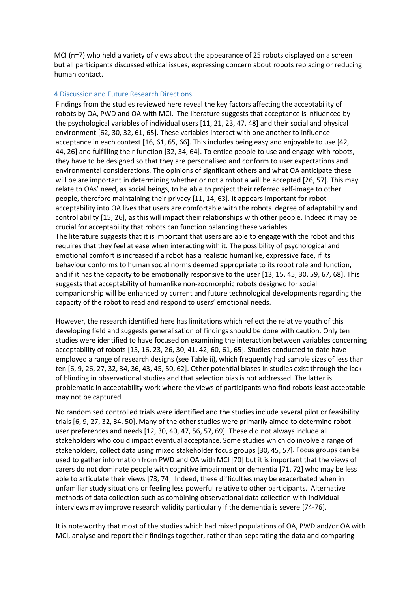MCI (n=7) who held a variety of views about the appearance of 25 robots displayed on a screen but all participants discussed ethical issues, expressing concern about robots replacing or reducing human contact.

## 4 Discussion and Future Research Directions

Findings from the studies reviewed here reveal the key factors affecting the acceptability of robots by OA, PWD and OA with MCI. The literature suggests that acceptance is influenced by the psychological variables of individual users [11, 21, 23, 47, 48] and their social and physical environment [62, 30, 32, 61, 65]. These variables interact with one another to influence acceptance in each context [16, 61, 65, 66]. This includes being easy and enjoyable to use [42, 44, 26] and fulfilling their function [32, 34, 64]. To entice people to use and engage with robots, they have to be designed so that they are personalised and conform to user expectations and environmental considerations. The opinions of significant others and what OA anticipate these will be are important in determining whether or not a robot a will be accepted [26, 57]. This may relate to OAs' need, as social beings, to be able to project their referred self-image to other people, therefore maintaining their privacy [11, 14, 63]. It appears important for robot acceptability into OA lives that users are comfortable with the robots degree of adaptability and controllability [15, 26], as this will impact their relationships with other people. Indeed it may be crucial for acceptability that robots can function balancing these variables. The literature suggests that it is important that users are able to engage with the robot and this requires that they feel at ease when interacting with it. The possibility of psychological and emotional comfort is increased if a robot has a realistic humanlike, expressive face, if its behaviour conforms to human social norms deemed appropriate to its robot role and function, and if it has the capacity to be emotionally responsive to the user [13, 15, 45, 30, 59, 67, 68]. This suggests that acceptability of humanlike non-zoomorphic robots designed for social companionship will be enhanced by current and future technological developments regarding the capacity of the robot to read and respond to users' emotional needs.

However, the research identified here has limitations which reflect the relative youth of this developing field and suggests generalisation of findings should be done with caution. Only ten studies were identified to have focused on examining the interaction between variables concerning acceptability of robots [15, 16, 23, 26, 30, 41, 42, 60, 61, 65]. Studies conducted to date have employed a range of research designs (see Table ii), which frequently had sample sizes of less than ten [6, 9, 26, 27, 32, 34, 36, 43, 45, 50, 62]. Other potential biases in studies exist through the lack of blinding in observational studies and that selection bias is not addressed. The latter is problematic in acceptability work where the views of participants who find robots least acceptable may not be captured.

No randomised controlled trials were identified and the studies include several pilot or feasibility trials [6, 9, 27, 32, 34, 50]. Many of the other studies were primarily aimed to determine robot user preferences and needs [12, 30, 40, 47, 56, 57, 69]. These did not always include all stakeholders who could impact eventual acceptance. Some studies which do involve a range of stakeholders, collect data using mixed stakeholder focus groups [30, 45, 57]. Focus groups can be used to gather information from PWD and OA with MCI [70] but it is important that the views of carers do not dominate people with cognitive impairment or dementia [71, 72] who may be less able to articulate their views [73, 74]. Indeed, these difficulties may be exacerbated when in unfamiliar study situations or feeling less powerful relative to other participants. Alternative methods of data collection such as combining observational data collection with individual interviews may improve research validity particularly if the dementia is severe [74-76].

It is noteworthy that most of the studies which had mixed populations of OA, PWD and/or OA with MCI, analyse and report their findings together, rather than separating the data and comparing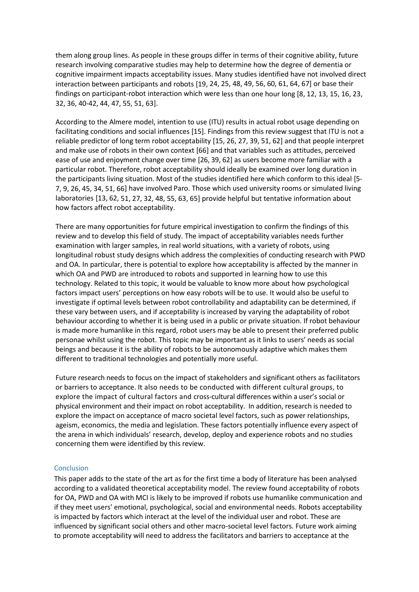them along group lines. As people in these groups differ in terms of their cognitive ability, future research involving comparative studies may help to determine how the degree of dementia or cognitive impairment impacts acceptability issues. Many studies identified have not involved direct interaction between participants and robots [19, 24, 25, 48, 49, 56, 60, 61, 64, 67] or base their findings on participant-robot interaction which were less than one hour long [8, 12, 13, 15, 16, 23, 32, 36, 40-42, 44, 47, 55, 51, 63].

According to the Almere model, intention to use (ITU) results in actual robot usage depending on facilitating conditions and social influences [15]. Findings from this review suggest that ITU is not a reliable predictor of long term robot acceptability [15, 26, 27, 39, 51, 62] and that people interpret and make use of robots in their own context [66] and that variables such as attitudes, perceived ease of use and enjoyment change over time [26, 39, 62] as users become more familiar with a particular robot. Therefore, robot acceptability should ideally be examined over long duration in the participants living situation. Most of the studies identified here which conform to this ideal [5- 7, 9, 26, 45, 34, 51, 66] have involved Paro. Those which used university rooms or simulated living laboratories [13, 62, 51, 27, 32, 48, 55, 63, 65] provide helpful but tentative information about how factors affect robot acceptability.

There are many opportunities for future empirical investigation to confirm the findings of this review and to develop this field of study. The impact of acceptability variables needs further examination with larger samples, in real world situations, with a variety of robots, using longitudinal robust study designs which address the complexities of conducting research with PWD and OA. In particular, there is potential to explore how acceptability is affected by the manner in which OA and PWD are introduced to robots and supported in learning how to use this technology. Related to this topic, it would be valuable to know more about how psychological factors impact users' perceptions on how easy robots will be to use. It would also be useful to investigate if optimal levels between robot controllability and adaptability can be determined, if these vary between users, and if acceptability is increased by varying the adaptability of robot behaviour according to whether it is being used in a public or private situation. If robot behaviour is made more humanlike in this regard, robot users may be able to present their preferred public personae whilst using the robot. This topic may be important as it links to users' needs as social beings and because it is the ability of robots to be autonomously adaptive which makes them different to traditional technologies and potentially more useful.

Future research needs to focus on the impact of stakeholders and significant others as facilitators or barriers to acceptance. It also needs to be conducted with different cultural groups, to explore the impact of cultural factors and cross-cultural differences within a user's social or physical environment and their impact on robot acceptability. In addition, research is needed to explore the impact on acceptance of macro societal level factors, such as power relationships, ageism, economics, the media and legislation. These factors potentially influence every aspect of the arena in which individuals' research, develop, deploy and experience robots and no studies concerning them were identified by this review.

## **Conclusion**

This paper adds to the state of the art as for the first time a body of literature has been analysed according to a validated theoretical acceptability model. The review found acceptability of robots for OA, PWD and OA with MCI is likely to be improved if robots use humanlike communication and if they meet users' emotional, psychological, social and environmental needs. Robots acceptability is impacted by factors which interact at the level of the individual user and robot. These are influenced by significant social others and other macro-societal level factors. Future work aiming to promote acceptability will need to address the facilitators and barriers to acceptance at the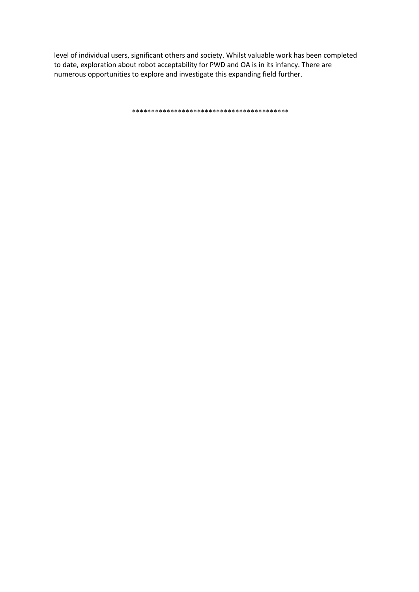level of individual users, significant others and society. Whilst valuable work has been completed to date, exploration about robot acceptability for PWD and OA is in its infancy. There are numerous opportunities to explore and investigate this expanding field further.

\*\*\*\*\*\*\*\*\*\*\*\*\*\*\*\*\*\*\*\*\*\*\*\*\*\*\*\*\*\*\*\*\*\*\*\*\*\*\*\*\*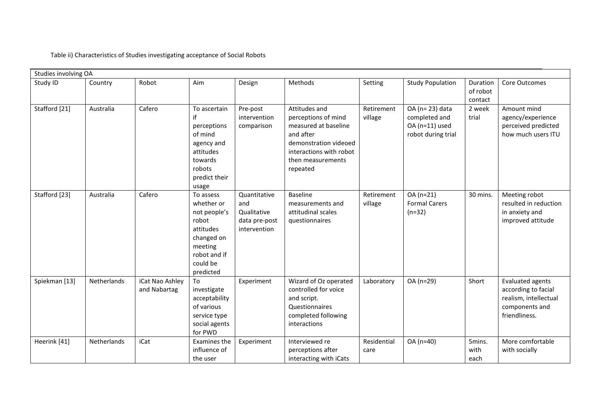Table ii) Characteristics of Studies investigating acceptance of Social Robots

| Studies involving OA |             |                                 |                                                                                                                                 |                                                                     |                                                                                                                                                                |                       |                                                                          |                                 |                                                                                                     |
|----------------------|-------------|---------------------------------|---------------------------------------------------------------------------------------------------------------------------------|---------------------------------------------------------------------|----------------------------------------------------------------------------------------------------------------------------------------------------------------|-----------------------|--------------------------------------------------------------------------|---------------------------------|-----------------------------------------------------------------------------------------------------|
| Study ID             | Country     | Robot                           | Aim                                                                                                                             | Design                                                              | Methods                                                                                                                                                        | Setting               | <b>Study Population</b>                                                  | Duration<br>of robot<br>contact | Core Outcomes                                                                                       |
| Stafford [21]        | Australia   | Cafero                          | To ascertain<br>if<br>perceptions<br>of mind<br>agency and<br>attitudes<br>towards<br>robots<br>predict their<br>usage          | Pre-post<br>intervention<br>comparison                              | Attitudes and<br>perceptions of mind<br>measured at baseline<br>and after<br>demonstration videoed<br>interactions with robot<br>then measurements<br>repeated | Retirement<br>village | OA (n= 23) data<br>completed and<br>OA (n=11) used<br>robot during trial | 2 week<br>trial                 | Amount mind<br>agency/experience<br>perceived predicted<br>how much users ITU                       |
| Stafford [23]        | Australia   | Cafero                          | To assess<br>whether or<br>not people's<br>robot<br>attitudes<br>changed on<br>meeting<br>robot and if<br>could be<br>predicted | Quantitative<br>and<br>Qualitative<br>data pre-post<br>intervention | <b>Baseline</b><br>measurements and<br>attitudinal scales<br>questionnaires                                                                                    | Retirement<br>village | OA (n=21)<br><b>Formal Carers</b><br>$(n=32)$                            | 30 mins.                        | Meeting robot<br>resulted in reduction<br>in anxiety and<br>improved attitude                       |
| Spiekman [13]        | Netherlands | iCat Nao Ashley<br>and Nabartag | To<br>investigate<br>acceptability<br>of various<br>service type<br>social agents<br>for PWD                                    | Experiment                                                          | Wizard of Oz operated<br>controlled for voice<br>and script.<br>Questionnaires<br>completed following<br>interactions                                          | Laboratory            | OA (n=29)                                                                | Short                           | Evaluated agents<br>according to facial<br>realism, intellectual<br>components and<br>friendliness. |
| Heerink [41]         | Netherlands | iCat                            | Examines the<br>influence of<br>the user                                                                                        | Experiment                                                          | Interviewed re<br>perceptions after<br>interacting with iCats                                                                                                  | Residential<br>care   | OA (n=40)                                                                | 5mins.<br>with<br>each          | More comfortable<br>with socially                                                                   |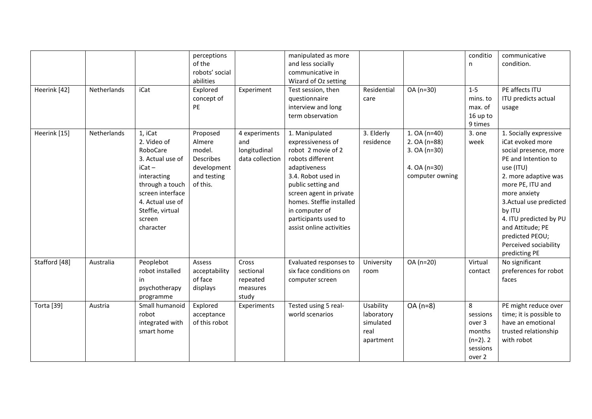|                   |             |                  | perceptions      |                 | manipulated as more      |             |                 | conditio    | communicative           |
|-------------------|-------------|------------------|------------------|-----------------|--------------------------|-------------|-----------------|-------------|-------------------------|
|                   |             |                  | of the           |                 | and less socially        |             |                 | n           | condition.              |
|                   |             |                  | robots' social   |                 | communicative in         |             |                 |             |                         |
|                   |             |                  | abilities        |                 | Wizard of Oz setting     |             |                 |             |                         |
| Heerink [42]      | Netherlands | iCat             | Explored         | Experiment      | Test session, then       | Residential | OA (n=30)       | $1 - 5$     | PE affects ITU          |
|                   |             |                  | concept of       |                 | questionnaire            | care        |                 | mins. to    | ITU predicts actual     |
|                   |             |                  | PE               |                 | interview and long       |             |                 | max. of     | usage                   |
|                   |             |                  |                  |                 | term observation         |             |                 | 16 up to    |                         |
|                   |             |                  |                  |                 |                          |             |                 | 9 times     |                         |
| Heerink [15]      | Netherlands | 1, iCat          | Proposed         | 4 experiments   | 1. Manipulated           | 3. Elderly  | 1. OA $(n=40)$  | 3. one      | 1. Socially expressive  |
|                   |             | 2. Video of      | Almere           | and             | expressiveness of        | residence   | 2. OA (n=88)    | week        | iCat evoked more        |
|                   |             | RoboCare         | model.           | longitudinal    | robot 2 movie of 2       |             | 3. OA (n=30)    |             | social presence, more   |
|                   |             | 3. Actual use of | <b>Describes</b> | data collection | robots different         |             |                 |             | PE and Intention to     |
|                   |             | $iCat -$         | development      |                 | adaptiveness             |             | 4. OA (n=30)    |             | use (ITU)               |
|                   |             | interacting      | and testing      |                 | 3.4. Robot used in       |             | computer owning |             | 2. more adaptive was    |
|                   |             | through a touch  | of this.         |                 | public setting and       |             |                 |             | more PE, ITU and        |
|                   |             | screen interface |                  |                 | screen agent in private  |             |                 |             | more anxiety            |
|                   |             | 4. Actual use of |                  |                 | homes. Steffie installed |             |                 |             | 3. Actual use predicted |
|                   |             | Steffie, virtual |                  |                 | in computer of           |             |                 |             | by ITU                  |
|                   |             | screen           |                  |                 | participants used to     |             |                 |             | 4. ITU predicted by PU  |
|                   |             | character        |                  |                 | assist online activities |             |                 |             | and Attitude; PE        |
|                   |             |                  |                  |                 |                          |             |                 |             | predicted PEOU;         |
|                   |             |                  |                  |                 |                          |             |                 |             | Perceived sociability   |
|                   |             |                  |                  |                 |                          |             |                 |             | predicting PE           |
| Stafford [48]     | Australia   | Peoplebot        | Assess           | Cross           | Evaluated responses to   | University  | OA (n=20)       | Virtual     | No significant          |
|                   |             | robot installed  | acceptability    | sectional       | six face conditions on   | room        |                 | contact     | preferences for robot   |
|                   |             | in               | of face          | repeated        | computer screen          |             |                 |             | faces                   |
|                   |             | psychotherapy    | displays         | measures        |                          |             |                 |             |                         |
|                   |             | programme        |                  | study           |                          |             |                 |             |                         |
| <b>Torta</b> [39] | Austria     | Small humanoid   | Explored         | Experiments     | Tested using 5 real-     | Usability   | $OA(n=8)$       | 8           | PE might reduce over    |
|                   |             | robot            | acceptance       |                 | world scenarios          | laboratory  |                 | sessions    | time; it is possible to |
|                   |             | integrated with  | of this robot    |                 |                          | simulated   |                 | over 3      | have an emotional       |
|                   |             | smart home       |                  |                 |                          | real        |                 | months      | trusted relationship    |
|                   |             |                  |                  |                 |                          | apartment   |                 | $(n=2)$ . 2 | with robot              |
|                   |             |                  |                  |                 |                          |             |                 | sessions    |                         |
|                   |             |                  |                  |                 |                          |             |                 | over 2      |                         |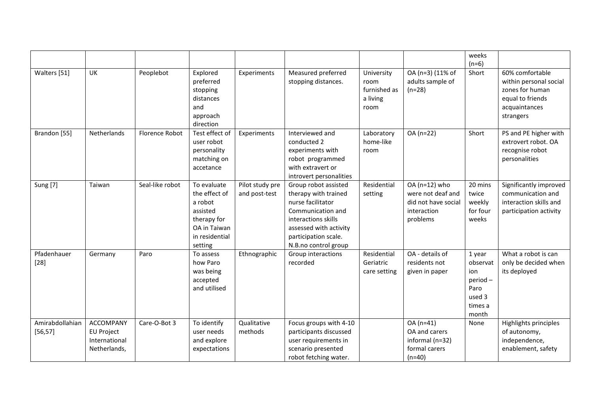|                             |                                                                        |                       |                                                                                                                 |                                  |                                                                                                                                                                                         |                                                        |                                                                                      | weeks<br>$(n=6)$                                                           |                                                                                                                |
|-----------------------------|------------------------------------------------------------------------|-----------------------|-----------------------------------------------------------------------------------------------------------------|----------------------------------|-----------------------------------------------------------------------------------------------------------------------------------------------------------------------------------------|--------------------------------------------------------|--------------------------------------------------------------------------------------|----------------------------------------------------------------------------|----------------------------------------------------------------------------------------------------------------|
| Walters [51]                | UK                                                                     | Peoplebot             | Explored<br>preferred<br>stopping<br>distances<br>and<br>approach<br>direction                                  | Experiments                      | Measured preferred<br>stopping distances.                                                                                                                                               | University<br>room<br>furnished as<br>a living<br>room | OA (n=3) (11% of<br>adults sample of<br>$(n=28)$                                     | Short                                                                      | 60% comfortable<br>within personal social<br>zones for human<br>equal to friends<br>acquaintances<br>strangers |
| Brandon [55]                | Netherlands                                                            | <b>Florence Robot</b> | Test effect of<br>user robot<br>personality<br>matching on<br>accetance                                         | Experiments                      | Interviewed and<br>conducted 2<br>experiments with<br>robot programmed<br>with extravert or<br>introvert personalities                                                                  | Laboratory<br>home-like<br>room                        | OA (n=22)                                                                            | Short                                                                      | PS and PE higher with<br>extrovert robot. OA<br>recognise robot<br>personalities                               |
| <b>Sung [7]</b>             | Taiwan                                                                 | Seal-like robot       | To evaluate<br>the effect of<br>a robot<br>assisted<br>therapy for<br>OA in Taiwan<br>in residential<br>setting | Pilot study pre<br>and post-test | Group robot assisted<br>therapy with trained<br>nurse facilitator<br>Communication and<br>interactions skills<br>assessed with activity<br>participation scale.<br>N.B.no control group | Residential<br>setting                                 | OA (n=12) who<br>were not deaf and<br>did not have social<br>interaction<br>problems | 20 mins<br>twice<br>weekly<br>for four<br>weeks                            | Significantly improved<br>communication and<br>interaction skills and<br>participation activity                |
| Pfadenhauer<br>$[28]$       | Germany                                                                | Paro                  | To assess<br>how Paro<br>was being<br>accepted<br>and utilised                                                  | Ethnographic                     | Group interactions<br>recorded                                                                                                                                                          | Residential<br>Geriatric<br>care setting               | OA - details of<br>residents not<br>given in paper                                   | 1 year<br>observat<br>ion<br>period-<br>Paro<br>used 3<br>times a<br>month | What a robot is can<br>only be decided when<br>its deployed                                                    |
| Amirabdollahian<br>[56, 57] | <b>ACCOMPANY</b><br><b>EU Project</b><br>International<br>Netherlands, | Care-O-Bot 3          | To identify<br>user needs<br>and explore<br>expectations                                                        | Qualitative<br>methods           | Focus groups with 4-10<br>participants discussed<br>user requirements in<br>scenario presented<br>robot fetching water.                                                                 |                                                        | OA (n=41)<br>OA and carers<br>informal (n=32)<br>formal carers<br>$(n=40)$           | None                                                                       | Highlights principles<br>of autonomy,<br>independence,<br>enablement, safety                                   |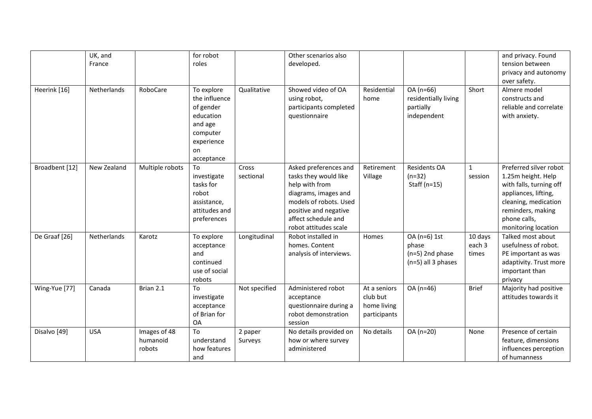| Heerink [16]   | UK, and<br>France<br>Netherlands | RoboCare                           | for robot<br>roles<br>To explore<br>the influence<br>of gender<br>education<br>and age<br>computer<br>experience<br>on | Qualitative        | Other scenarios also<br>developed.<br>Showed video of OA<br>using robot,<br>participants completed<br>questionnaire                                                                         | Residential<br>home                                     | OA (n=66)<br>residentially living<br>partially<br>independent    | Short                      | and privacy. Found<br>tension between<br>privacy and autonomy<br>over safety.<br>Almere model<br>constructs and<br>reliable and correlate<br>with anxiety.                          |
|----------------|----------------------------------|------------------------------------|------------------------------------------------------------------------------------------------------------------------|--------------------|---------------------------------------------------------------------------------------------------------------------------------------------------------------------------------------------|---------------------------------------------------------|------------------------------------------------------------------|----------------------------|-------------------------------------------------------------------------------------------------------------------------------------------------------------------------------------|
| Broadbent [12] | New Zealand                      | Multiple robots                    | acceptance<br>To<br>investigate<br>tasks for<br>robot<br>assistance,<br>attitudes and<br>preferences                   | Cross<br>sectional | Asked preferences and<br>tasks they would like<br>help with from<br>diagrams, images and<br>models of robots. Used<br>positive and negative<br>affect schedule and<br>robot attitudes scale | Retirement<br>Village                                   | <b>Residents OA</b><br>$(n=32)$<br>Staff ( $n=15$ )              | $\mathbf{1}$<br>session    | Preferred silver robot<br>1.25m height. Help<br>with falls, turning off<br>appliances, lifting,<br>cleaning, medication<br>reminders, making<br>phone calls,<br>monitoring location |
| De Graaf [26]  | Netherlands                      | Karotz                             | To explore<br>acceptance<br>and<br>continued<br>use of social<br>robots                                                | Longitudinal       | Robot installed in<br>homes. Content<br>analysis of interviews.                                                                                                                             | Homes                                                   | OA (n=6) 1st<br>phase<br>$(n=5)$ 2nd phase<br>(n=5) all 3 phases | 10 days<br>each 3<br>times | Talked most about<br>usefulness of robot.<br>PE important as was<br>adaptivity. Trust more<br>important than<br>privacy                                                             |
| Wing-Yue [77]  | Canada                           | Brian 2.1                          | To<br>investigate<br>acceptance<br>of Brian for<br>OA                                                                  | Not specified      | Administered robot<br>acceptance<br>questionnaire during a<br>robot demonstration<br>session                                                                                                | At a seniors<br>club but<br>home living<br>participants | OA (n=46)                                                        | <b>Brief</b>               | Majority had positive<br>attitudes towards it                                                                                                                                       |
| Disalvo [49]   | <b>USA</b>                       | Images of 48<br>humanoid<br>robots | To<br>understand<br>how features<br>and                                                                                | 2 paper<br>Surveys | No details provided on<br>how or where survey<br>administered                                                                                                                               | No details                                              | OA (n=20)                                                        | None                       | Presence of certain<br>feature, dimensions<br>influences perception<br>of humanness                                                                                                 |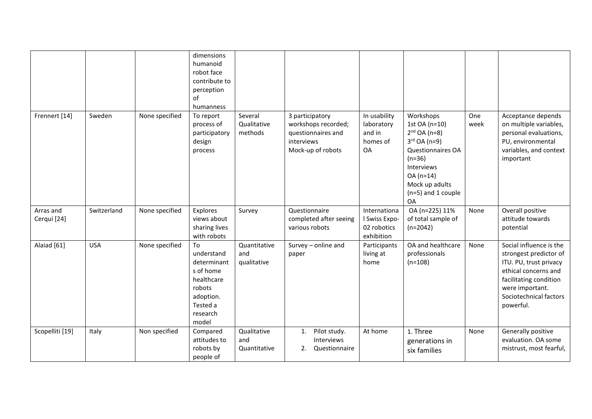|                          |             |                | dimensions<br>humanoid<br>robot face<br>contribute to<br>perception<br>of<br>humanness                             |                                    |                                                                                                 |                                                            |                                                                                                                                                                                    |             |                                                                                                                                                                                         |
|--------------------------|-------------|----------------|--------------------------------------------------------------------------------------------------------------------|------------------------------------|-------------------------------------------------------------------------------------------------|------------------------------------------------------------|------------------------------------------------------------------------------------------------------------------------------------------------------------------------------------|-------------|-----------------------------------------------------------------------------------------------------------------------------------------------------------------------------------------|
| Frennert [14]            | Sweden      | None specified | To report<br>process of<br>participatory<br>design<br>process                                                      | Several<br>Qualitative<br>methods  | 3 participatory<br>workshops recorded;<br>questionnaires and<br>interviews<br>Mock-up of robots | In usability<br>laboratory<br>and in<br>homes of<br>OA     | Workshops<br>1st OA (n=10)<br>$2^{nd}$ OA (n=8)<br>$3rd$ OA (n=9)<br><b>Questionnaires OA</b><br>$(n=36)$<br>Interviews<br>OA (n=14)<br>Mock up adults<br>(n=5) and 1 couple<br>OA | One<br>week | Acceptance depends<br>on multiple variables,<br>personal evaluations,<br>PU, environmental<br>variables, and context<br>important                                                       |
| Arras and<br>Cerqui [24] | Switzerland | None specified | Explores<br>views about<br>sharing lives<br>with robots                                                            | Survey                             | Questionnaire<br>completed after seeing<br>various robots                                       | Internationa<br>I Swiss Expo-<br>02 robotics<br>exhibition | OA (n=225) 11%<br>of total sample of<br>$(n=2042)$                                                                                                                                 | None        | Overall positive<br>attitude towards<br>potential                                                                                                                                       |
| Alaiad [61]              | <b>USA</b>  | None specified | То<br>understand<br>determinant<br>s of home<br>healthcare<br>robots<br>adoption.<br>Tested a<br>research<br>model | Quantitative<br>and<br>qualitative | Survey - online and<br>paper                                                                    | Participants<br>living at<br>home                          | OA and healthcare<br>professionals<br>$(n=108)$                                                                                                                                    | None        | Social influence is the<br>strongest predictor of<br>ITU. PU, trust privacy<br>ethical concerns and<br>facilitating condition<br>were important.<br>Sociotechnical factors<br>powerful. |
| Scopelliti [19]          | Italy       | Non specified  | Compared<br>attitudes to<br>robots by<br>people of                                                                 | Qualitative<br>and<br>Quantitative | Pilot study.<br>1.<br>Interviews<br>Questionnaire<br>2.                                         | At home                                                    | 1. Three<br>generations in<br>six families                                                                                                                                         | None        | Generally positive<br>evaluation. OA some<br>mistrust, most fearful,                                                                                                                    |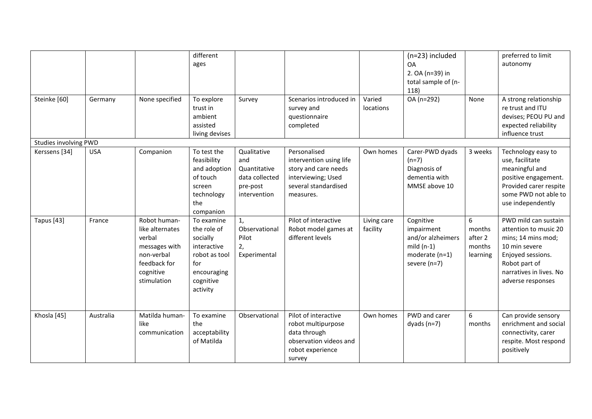| Steinke [60]                           | Germany    | None specified                                                                                                       | different<br>ages<br>To explore<br>trust in<br>ambient<br>assisted<br>living devises                                 | Survey                                                                           | Scenarios introduced in<br>survey and<br>questionnaire<br>completed                                                        | Varied<br>locations     | (n=23) included<br><b>OA</b><br>2. OA (n=39) in<br>total sample of (n-<br>118)<br>OA (n=292)  | None                                         | preferred to limit<br>autonomy<br>A strong relationship<br>re trust and ITU<br>devises; PEOU PU and<br>expected reliability<br>influence trust                             |
|----------------------------------------|------------|----------------------------------------------------------------------------------------------------------------------|----------------------------------------------------------------------------------------------------------------------|----------------------------------------------------------------------------------|----------------------------------------------------------------------------------------------------------------------------|-------------------------|-----------------------------------------------------------------------------------------------|----------------------------------------------|----------------------------------------------------------------------------------------------------------------------------------------------------------------------------|
| Studies involving PWD<br>Kerssens [34] | <b>USA</b> | Companion                                                                                                            | To test the<br>feasibility<br>and adoption<br>of touch<br>screen<br>technology<br>the<br>companion                   | Qualitative<br>and<br>Quantitative<br>data collected<br>pre-post<br>intervention | Personalised<br>intervention using life<br>story and care needs<br>interviewing; Used<br>several standardised<br>measures. | Own homes               | Carer-PWD dyads<br>$(n=7)$<br>Diagnosis of<br>dementia with<br>MMSE above 10                  | 3 weeks                                      | Technology easy to<br>use, facilitate<br>meaningful and<br>positive engagement.<br>Provided carer respite<br>some PWD not able to<br>use independently                     |
| Tapus [43]                             | France     | Robot human-<br>like alternates<br>verbal<br>messages with<br>non-verbal<br>feedback for<br>cognitive<br>stimulation | To examine<br>the role of<br>socially<br>interactive<br>robot as tool<br>for<br>encouraging<br>cognitive<br>activity | 1,<br>Observational<br>Pilot<br>2,<br>Experimental                               | Pilot of interactive<br>Robot model games at<br>different levels                                                           | Living care<br>facility | Cognitive<br>impairment<br>and/or alzheimers<br>$mild(n-1)$<br>moderate (n=1)<br>severe (n=7) | 6<br>months<br>after 2<br>months<br>learning | PWD mild can sustain<br>attention to music 20<br>mins; 14 mins mod;<br>10 min severe<br>Enjoyed sessions.<br>Robot part of<br>narratives in lives. No<br>adverse responses |
| Khosla [45]                            | Australia  | Matilda human-<br>like<br>communication                                                                              | To examine<br>the<br>acceptability<br>of Matilda                                                                     | Observational                                                                    | Pilot of interactive<br>robot multipurpose<br>data through<br>observation videos and<br>robot experience<br>survey         | Own homes               | PWD and carer<br>dyads $(n=7)$                                                                | 6<br>months                                  | Can provide sensory<br>enrichment and social<br>connectivity, carer<br>respite. Most respond<br>positively                                                                 |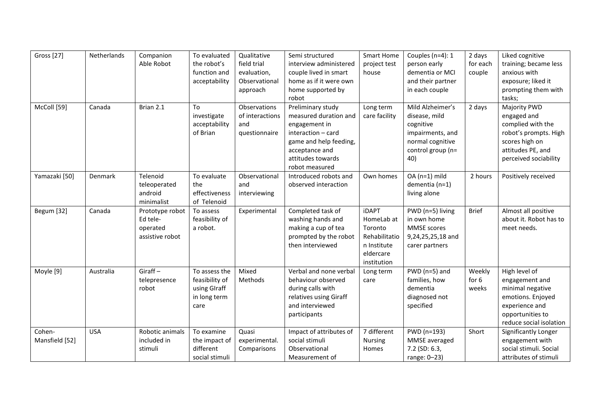| <b>Gross</b> [27]        | Netherlands | Companion<br>Able Robot                                    | To evaluated<br>the robot's<br>function and<br>acceptability            | Qualitative<br>field trial<br>evaluation,<br>Observational<br>approach | Semi structured<br>interview administered<br>couple lived in smart<br>home as if it were own<br>home supported by<br>robot                                           | <b>Smart Home</b><br>project test<br>house                                                        | Couples ( $n=4$ ): 1<br>person early<br>dementia or MCI<br>and their partner<br>in each couple                     | 2 days<br>for each<br>couple | Liked cognitive<br>training; became less<br>anxious with<br>exposure; liked it<br>prompting them with<br>tasks;                           |
|--------------------------|-------------|------------------------------------------------------------|-------------------------------------------------------------------------|------------------------------------------------------------------------|----------------------------------------------------------------------------------------------------------------------------------------------------------------------|---------------------------------------------------------------------------------------------------|--------------------------------------------------------------------------------------------------------------------|------------------------------|-------------------------------------------------------------------------------------------------------------------------------------------|
| McColl [59]              | Canada      | Brian 2.1                                                  | To<br>investigate<br>acceptability<br>of Brian                          | Observations<br>of interactions<br>and<br>questionnaire                | Preliminary study<br>measured duration and<br>engagement in<br>interaction - card<br>game and help feeding,<br>acceptance and<br>attitudes towards<br>robot measured | Long term<br>care facility                                                                        | Mild Alzheimer's<br>disease, mild<br>cognitive<br>impairments, and<br>normal cognitive<br>control group (n=<br>40) | 2 days                       | Majority PWD<br>engaged and<br>complied with the<br>robot's prompts. High<br>scores high on<br>attitudes PE, and<br>perceived sociability |
| Yamazaki [50]            | Denmark     | Telenoid<br>teleoperated<br>android<br>minimalist          | To evaluate<br>the<br>effectiveness<br>of Telenoid                      | Observational<br>and<br>interviewing                                   | Introduced robots and<br>observed interaction                                                                                                                        | Own homes                                                                                         | $OA(n=1)$ mild<br>dementia (n=1)<br>living alone                                                                   | 2 hours                      | Positively received                                                                                                                       |
| Begum [32]               | Canada      | Prototype robot<br>Ed tele-<br>operated<br>assistive robot | To assess<br>feasibility of<br>a robot.                                 | Experimental                                                           | Completed task of<br>washing hands and<br>making a cup of tea<br>prompted by the robot<br>then interviewed                                                           | <b>iDAPT</b><br>HomeLab at<br>Toronto<br>Rehabilitatio<br>n Institute<br>eldercare<br>institution | PWD (n=5) living<br>in own home<br>MMSE scores<br>9,24,25,25,18 and<br>carer partners                              | <b>Brief</b>                 | Almost all positive<br>about it. Robot has to<br>meet needs.                                                                              |
| Moyle [9]                | Australia   | $Giraff -$<br>telepresence<br>robot                        | To assess the<br>feasibility of<br>using GIraff<br>in long term<br>care | Mixed<br>Methods                                                       | Verbal and none verbal<br>behaviour observed<br>during calls with<br>relatives using Giraff<br>and interviewed<br>participants                                       | Long term<br>care                                                                                 | $PWD$ (n=5) and<br>families, how<br>dementia<br>diagnosed not<br>specified                                         | Weekly<br>for $6$<br>weeks   | High level of<br>engagement and<br>minimal negative<br>emotions. Enjoyed<br>experience and<br>opportunities to<br>reduce social isolation |
| Cohen-<br>Mansfield [52] | <b>USA</b>  | Robotic animals<br>included in<br>stimuli                  | To examine<br>the impact of<br>different<br>social stimuli              | Quasi<br>experimental.<br>Comparisons                                  | Impact of attributes of<br>social stimuli<br>Observational<br>Measurement of                                                                                         | 7 different<br><b>Nursing</b><br>Homes                                                            | PWD (n=193)<br>MMSE averaged<br>7.2 (SD: 6.3,<br>range: 0-23)                                                      | Short                        | Significantly Longer<br>engagement with<br>social stimuli. Social<br>attributes of stimuli                                                |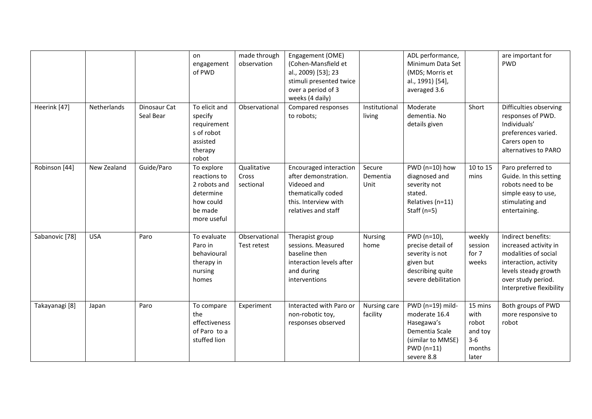|                |             |                           | on<br>engagement<br>of PWD                                                                     | made through<br>observation       | Engagement (OME)<br>(Cohen-Mansfield et<br>al., 2009) [53]; 23<br>stimuli presented twice<br>over a period of 3<br>weeks (4 daily)        |                            | ADL performance,<br>Minimum Data Set<br>(MDS; Morris et<br>al., 1991) [54],<br>averaged 3.6                        |                                                                 | are important for<br><b>PWD</b>                                                                                                                                        |
|----------------|-------------|---------------------------|------------------------------------------------------------------------------------------------|-----------------------------------|-------------------------------------------------------------------------------------------------------------------------------------------|----------------------------|--------------------------------------------------------------------------------------------------------------------|-----------------------------------------------------------------|------------------------------------------------------------------------------------------------------------------------------------------------------------------------|
| Heerink [47]   | Netherlands | Dinosaur Cat<br>Seal Bear | To elicit and<br>specify<br>requirement<br>s of robot<br>assisted<br>therapy<br>robot          | Observational                     | Compared responses<br>to robots;                                                                                                          | Institutional<br>living    | Moderate<br>dementia. No<br>details given                                                                          | Short                                                           | Difficulties observing<br>responses of PWD.<br>Individuals'<br>preferences varied.<br>Carers open to<br>alternatives to PARO                                           |
| Robinson [44]  | New Zealand | Guide/Paro                | To explore<br>reactions to<br>2 robots and<br>determine<br>how could<br>be made<br>more useful | Qualitative<br>Cross<br>sectional | <b>Encouraged interaction</b><br>after demonstration.<br>Videoed and<br>thematically coded<br>this. Interview with<br>relatives and staff | Secure<br>Dementia<br>Unit | $PWD$ (n=10) how<br>diagnosed and<br>severity not<br>stated.<br>Relatives (n=11)<br>Staff ( $n=5$ )                | 10 to 15<br>mins                                                | Paro preferred to<br>Guide. In this setting<br>robots need to be<br>simple easy to use,<br>stimulating and<br>entertaining.                                            |
| Sabanovic [78] | <b>USA</b>  | Paro                      | To evaluate<br>Paro in<br>behavioural<br>therapy in<br>nursing<br>homes                        | Observational<br>Test retest      | Therapist group<br>sessions. Measured<br>baseline then<br>interaction levels after<br>and during<br>interventions                         | <b>Nursing</b><br>home     | PWD (n=10),<br>precise detail of<br>severity is not<br>given but<br>describing quite<br>severe debilitation        | weekly<br>session<br>for 7<br>weeks                             | Indirect benefits:<br>increased activity in<br>modalities of social<br>interaction, activity<br>levels steady growth<br>over study period.<br>Interpretive flexibility |
| Takayanagi [8] | Japan       | Paro                      | To compare<br>the<br>effectiveness<br>of Paro to a<br>stuffed lion                             | Experiment                        | Interacted with Paro or<br>non-robotic toy,<br>responses observed                                                                         | Nursing care<br>facility   | PWD (n=19) mild-<br>moderate 16.4<br>Hasegawa's<br>Dementia Scale<br>(similar to MMSE)<br>PWD (n=11)<br>severe 8.8 | 15 mins<br>with<br>robot<br>and toy<br>$3-6$<br>months<br>later | Both groups of PWD<br>more responsive to<br>robot                                                                                                                      |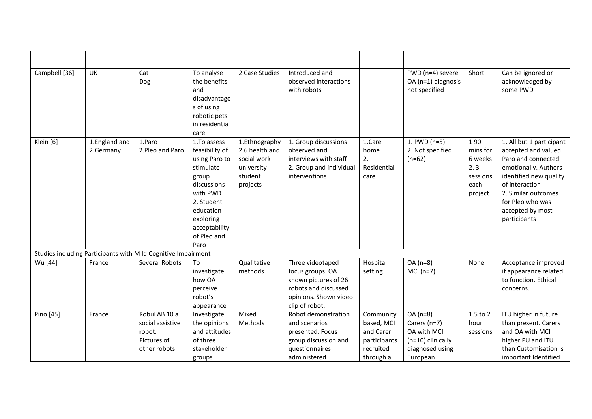| Campbell [36] | UK                         | Cat<br>Dog                                                                | To analyse<br>the benefits<br>and<br>disadvantage<br>s of using<br>robotic pets<br>in residential<br>care                                                                       | 2 Case Studies                                                                      | Introduced and<br>observed interactions<br>with robots                                                                          |                                                                   | PWD (n=4) severe<br>OA (n=1) diagnosis<br>not specified                          | Short                                                            | Can be ignored or<br>acknowledged by<br>some PWD                                                                                                                                                                         |
|---------------|----------------------------|---------------------------------------------------------------------------|---------------------------------------------------------------------------------------------------------------------------------------------------------------------------------|-------------------------------------------------------------------------------------|---------------------------------------------------------------------------------------------------------------------------------|-------------------------------------------------------------------|----------------------------------------------------------------------------------|------------------------------------------------------------------|--------------------------------------------------------------------------------------------------------------------------------------------------------------------------------------------------------------------------|
| Klein [6]     | 1.England and<br>2.Germany | 1.Paro<br>2. Pleo and Paro                                                | 1.To assess<br>feasibility of<br>using Paro to<br>stimulate<br>group<br>discussions<br>with PWD<br>2. Student<br>education<br>exploring<br>acceptability<br>of Pleo and<br>Paro | 1.Ethnography<br>2.6 health and<br>social work<br>university<br>student<br>projects | 1. Group discussions<br>observed and<br>interviews with staff<br>2. Group and individual<br>interventions                       | 1.Care<br>home<br>2.<br>Residential<br>care                       | 1. PWD (n=5)<br>2. Not specified<br>$(n=62)$                                     | 190<br>mins for<br>6 weeks<br>2.3<br>sessions<br>each<br>project | 1. All but 1 participant<br>accepted and valued<br>Paro and connected<br>emotionally. Authors<br>identified new quality<br>of interaction<br>2. Similar outcomes<br>for Pleo who was<br>accepted by most<br>participants |
|               |                            | Studies including Participants with Mild Cognitive Impairment             |                                                                                                                                                                                 |                                                                                     |                                                                                                                                 |                                                                   |                                                                                  |                                                                  |                                                                                                                                                                                                                          |
| Wu [44]       | France                     | Several Robots                                                            | To<br>investigate<br>how OA<br>perceive<br>robot's<br>appearance                                                                                                                | Qualitative<br>methods                                                              | Three videotaped<br>focus groups. OA<br>shown pictures of 26<br>robots and discussed<br>opinions. Shown video<br>clip of robot. | Hospital<br>setting                                               | $OA(n=8)$<br>$MCI(n=7)$                                                          | None                                                             | Acceptance improved<br>if appearance related<br>to function. Ethical<br>concerns.                                                                                                                                        |
| Pino [45]     | France                     | RobuLAB 10 a<br>social assistive<br>robot.<br>Pictures of<br>other robots | Investigate<br>the opinions<br>and attitudes<br>of three<br>stakeholder                                                                                                         | Mixed<br>Methods                                                                    | Robot demonstration<br>and scenarios<br>presented. Focus<br>group discussion and<br>questionnaires                              | Community<br>based, MCI<br>and Carer<br>participants<br>recruited | $OA(n=8)$<br>Carers (n=7)<br>OA with MCI<br>(n=10) clinically<br>diagnosed using | 1.5 to 2<br>hour<br>sessions                                     | ITU higher in future<br>than present. Carers<br>and OA with MCI<br>higher PU and ITU<br>than Customisation is                                                                                                            |
|               |                            |                                                                           | groups                                                                                                                                                                          |                                                                                     | administered                                                                                                                    | through a                                                         | European                                                                         |                                                                  | important Identified                                                                                                                                                                                                     |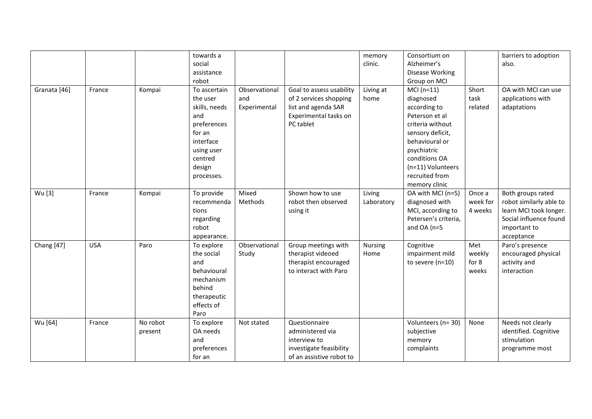|              |            |          | towards a     |               |                          | memory         | Consortium on        |          | barriers to adoption    |
|--------------|------------|----------|---------------|---------------|--------------------------|----------------|----------------------|----------|-------------------------|
|              |            |          | social        |               |                          | clinic.        | Alzheimer's          |          | also.                   |
|              |            |          | assistance    |               |                          |                | Disease Working      |          |                         |
|              |            |          | robot         |               |                          |                | Group on MCI         |          |                         |
| Granata [46] | France     | Kompai   | To ascertain  | Observational | Goal to assess usability | Living at      | $MCI(n=11)$          | Short    | OA with MCI can use     |
|              |            |          | the user      | and           | of 2 services shopping   | home           | diagnosed            | task     | applications with       |
|              |            |          | skills, needs | Experimental  | list and agenda SAR      |                | according to         | related  | adaptations             |
|              |            |          | and           |               | Experimental tasks on    |                | Peterson et al       |          |                         |
|              |            |          | preferences   |               | PC tablet                |                | criteria without     |          |                         |
|              |            |          | for an        |               |                          |                | sensory deficit,     |          |                         |
|              |            |          | interface     |               |                          |                | behavioural or       |          |                         |
|              |            |          | using user    |               |                          |                | psychiatric          |          |                         |
|              |            |          | centred       |               |                          |                | conditions OA        |          |                         |
|              |            |          | design        |               |                          |                | (n=11) Volunteers    |          |                         |
|              |            |          | processes.    |               |                          |                | recruited from       |          |                         |
|              |            |          |               |               |                          |                | memory clinic        |          |                         |
| Wu [3]       | France     | Kompai   | To provide    | Mixed         | Shown how to use         | Living         | OA with MCI (n=5)    | Once a   | Both groups rated       |
|              |            |          | recommenda    | Methods       | robot then observed      | Laboratory     | diagnosed with       | week for | robot similarly able to |
|              |            |          | tions         |               | using it                 |                | MCI, according to    | 4 weeks  | learn MCI took longer.  |
|              |            |          | regarding     |               |                          |                | Petersen's criteria, |          | Social influence found  |
|              |            |          | robot         |               |                          |                | and OA ( $n=5$       |          | important to            |
|              |            |          | appearance.   |               |                          |                |                      |          | acceptance              |
| Chang [47]   | <b>USA</b> | Paro     | To explore    | Observational | Group meetings with      | <b>Nursing</b> | Cognitive            | Met      | Paro's presence         |
|              |            |          | the social    | Study         | therapist videoed        | Home           | impairment mild      | weekly   | encouraged physical     |
|              |            |          | and           |               | therapist encouraged     |                | to severe (n=10)     | for 8    | activity and            |
|              |            |          | behavioural   |               | to interact with Paro    |                |                      | weeks    | interaction             |
|              |            |          | mechanism     |               |                          |                |                      |          |                         |
|              |            |          | behind        |               |                          |                |                      |          |                         |
|              |            |          | therapeutic   |               |                          |                |                      |          |                         |
|              |            |          | effects of    |               |                          |                |                      |          |                         |
|              |            |          | Paro          |               |                          |                |                      |          |                         |
| Wu [64]      | France     | No robot | To explore    | Not stated    | Questionnaire            |                | Volunteers (n= 30)   | None     | Needs not clearly       |
|              |            | present  | OA needs      |               | administered via         |                | subjective           |          | identified. Cognitive   |
|              |            |          | and           |               | interview to             |                | memory               |          | stimulation             |
|              |            |          | preferences   |               | investigate feasibility  |                | complaints           |          | programme most          |
|              |            |          | for an        |               | of an assistive robot to |                |                      |          |                         |
|              |            |          |               |               |                          |                |                      |          |                         |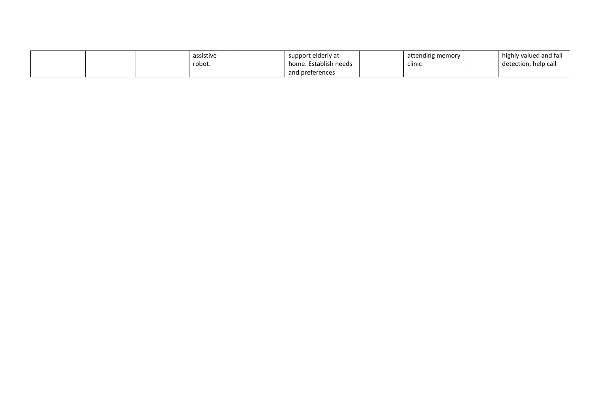|  | assistive | support elderly at    | attending memory | highly valued and fall |
|--|-----------|-----------------------|------------------|------------------------|
|  | robot.    | home. Establish needs | clinic           | detection, help call   |
|  |           | and preferences       |                  |                        |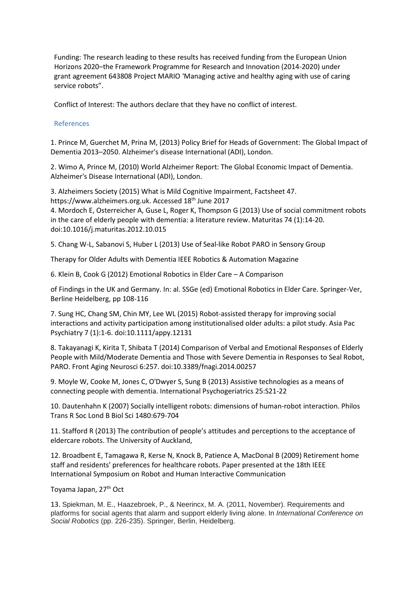Funding: The research leading to these results has received funding from the European Union Horizons 2020–the Framework Programme for Research and Innovation (2014-2020) under grant agreement 643808 Project MARIO 'Managing active and healthy aging with use of caring service robots".

Conflict of Interest: The authors declare that they have no conflict of interest.

# References

1. Prince M, Guerchet M, Prina M, (2013) Policy Brief for Heads of Government: The Global Impact of Dementia 2013–2050. Alzheimer's disease International (ADI), London.

2. Wimo A, Prince M, (2010) World Alzheimer Report: The Global Economic Impact of Dementia. Alzheimer's Disease International (ADI), London.

3. Alzheimers Society (2015) What is Mild Cognitive Impairment, Factsheet 47. https://www.alzheimers.org.uk. Accessed 18<sup>th</sup> June 2017

4. Mordoch E, Osterreicher A, Guse L, Roger K, Thompson G (2013) Use of social commitment robots in the care of elderly people with dementia: a literature review. Maturitas 74 (1):14-20. doi:10.1016/j.maturitas.2012.10.015

5. Chang W-L, Sabanovi S, Huber L (2013) Use of Seal-like Robot PARO in Sensory Group

Therapy for Older Adults with Dementia IEEE Robotics & Automation Magazine

6. Klein B, Cook G (2012) Emotional Robotics in Elder Care – A Comparison

of Findings in the UK and Germany. In: al. SSGe (ed) Emotional Robotics in Elder Care. Springer-Ver, Berline Heidelberg, pp 108-116

7. Sung HC, Chang SM, Chin MY, Lee WL (2015) Robot-assisted therapy for improving social interactions and activity participation among institutionalised older adults: a pilot study. Asia Pac Psychiatry 7 (1):1-6. doi:10.1111/appy.12131

8. Takayanagi K, Kirita T, Shibata T (2014) Comparison of Verbal and Emotional Responses of Elderly People with Mild/Moderate Dementia and Those with Severe Dementia in Responses to Seal Robot, PARO. Front Aging Neurosci 6:257. doi:10.3389/fnagi.2014.00257

9. Moyle W, Cooke M, Jones C, O'Dwyer S, Sung B (2013) Assistive technologies as a means of connecting people with dementia. International Psychogeriatrics 25:S21-22

10. Dautenhahn K (2007) Socially intelligent robots: dimensions of human-robot interaction. Philos Trans R Soc Lond B Biol Sci 1480:679-704

11. Stafford R (2013) The contribution of people's attitudes and perceptions to the acceptance of eldercare robots. The University of Auckland,

12. Broadbent E, Tamagawa R, Kerse N, Knock B, Patience A, MacDonal B (2009) Retirement home staff and residents' preferences for healthcare robots. Paper presented at the 18th IEEE International Symposium on Robot and Human Interactive Communication

# Toyama Japan, 27th Oct

13. Spiekman, M. E., Haazebroek, P., & Neerincx, M. A. (2011, November). Requirements and platforms for social agents that alarm and support elderly living alone. In *International Conference on Social Robotics* (pp. 226-235). Springer, Berlin, Heidelberg.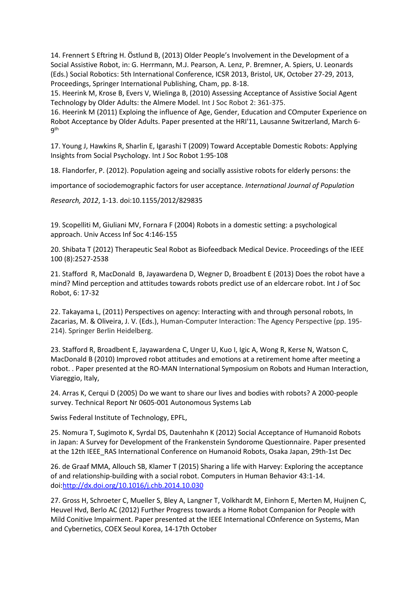14. Frennert S Eftring H. Östlund B, (2013) Older People's Involvement in the Development of a Social Assistive Robot, in: G. Herrmann, M.J. Pearson, A. Lenz, P. Bremner, A. Spiers, U. Leonards (Eds.) Social Robotics: 5th International Conference, ICSR 2013, Bristol, UK, October 27-29, 2013, Proceedings, Springer International Publishing, Cham, pp. 8-18.

15. Heerink M, Krose B, Evers V, Wielinga B, (2010) Assessing Acceptance of Assistive Social Agent Technology by Older Adults: the Almere Model. Int J Soc Robot 2: 361-375.

16. Heerink M (2011) Exploing the influence of Age, Gender, Education and COmputer Experience on Robot Acceptance by Older Adults. Paper presented at the HRI'11, Lausanne Switzerland, March 6- 9th

17. Young J, Hawkins R, Sharlin E, Igarashi T (2009) Toward Acceptable Domestic Robots: Applying Insights from Social Psychology. Int J Soc Robot 1:95-108

18. Flandorfer, P. (2012). Population ageing and socially assistive robots for elderly persons: the

importance of sociodemographic factors for user acceptance. *International Journal of Population*

*Research, 2012*, 1-13. doi:10.1155/2012/829835

19. Scopelliti M, Giuliani MV, Fornara F (2004) Robots in a domestic setting: a psychological approach. Univ Access Inf Soc 4:146-155

20. Shibata T (2012) Therapeutic Seal Robot as Biofeedback Medical Device. Proceedings of the IEEE 100 (8):2527-2538

21. Stafford R, MacDonald B, Jayawardena D, Wegner D, Broadbent E (2013) Does the robot have a mind? Mind perception and attitudes towards robots predict use of an eldercare robot. Int J of Soc Robot, 6: 17-32

22. Takayama L, (2011) Perspectives on agency: Interacting with and through personal robots, In Zacarias, M. & Oliveira, J. V. (Eds.), Human-Computer Interaction: The Agency Perspective (pp. 195- 214). Springer Berlin Heidelberg.

23. Stafford R, Broadbent E, Jayawardena C, Unger U, Kuo I, Igic A, Wong R, Kerse N, Watson C, MacDonald B (2010) Improved robot attitudes and emotions at a retirement home after meeting a robot. . Paper presented at the RO-MAN International Symposium on Robots and Human Interaction, Viareggio, Italy,

24. Arras K, Cerqui D (2005) Do we want to share our lives and bodies with robots? A 2000-people survey. Technical Report Nr 0605-001 Autonomous Systems Lab

Swiss Federal Institute of Technology, EPFL,

25. Nomura T, Sugimoto K, Syrdal DS, Dautenhahn K (2012) Social Acceptance of Humanoid Robots in Japan: A Survey for Development of the Frankenstein Syndorome Questionnaire. Paper presented at the 12th IEEE\_RAS International Conference on Humanoid Robots, Osaka Japan, 29th-1st Dec

26. de Graaf MMA, Allouch SB, Klamer T (2015) Sharing a life with Harvey: Exploring the acceptance of and relationship-building with a social robot. Computers in Human Behavior 43:1-14. doi[:http://dx.doi.org/10.1016/j.chb.2014.10.030](http://dx.doi.org/10.1016/j.chb.2014.10.030)

27. Gross H, Schroeter C, Mueller S, Bley A, Langner T, Volkhardt M, Einhorn E, Merten M, Huijnen C, Heuvel Hvd, Berlo AC (2012) Further Progress towards a Home Robot Companion for People with Mild Conitive Impairment. Paper presented at the IEEE International COnference on Systems, Man and Cybernetics, COEX Seoul Korea, 14-17th October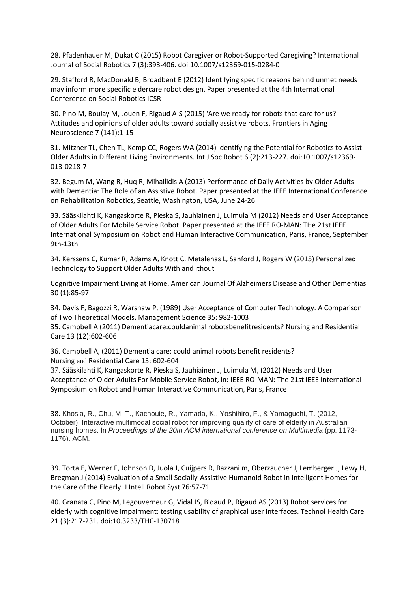28. Pfadenhauer M, Dukat C (2015) Robot Caregiver or Robot-Supported Caregiving? International Journal of Social Robotics 7 (3):393-406. doi:10.1007/s12369-015-0284-0

29. Stafford R, MacDonald B, Broadbent E (2012) Identifying specific reasons behind unmet needs may inform more specific eldercare robot design. Paper presented at the 4th International Conference on Social Robotics ICSR

30. Pino M, Boulay M, Jouen F, Rigaud A-S (2015) 'Are we ready for robots that care for us?' Attitudes and opinions of older adults toward socially assistive robots. Frontiers in Aging Neuroscience 7 (141):1-15

31. Mitzner TL, Chen TL, Kemp CC, Rogers WA (2014) Identifying the Potential for Robotics to Assist Older Adults in Different Living Environments. Int J Soc Robot 6 (2):213-227. doi:10.1007/s12369- 013-0218-7

32. Begum M, Wang R, Huq R, Mihailidis A (2013) Performance of Daily Activities by Older Adults with Dementia: The Role of an Assistive Robot. Paper presented at the IEEE International Conference on Rehabilitation Robotics, Seattle, Washington, USA, June 24-26

33. Sääskilahti K, Kangaskorte R, Pieska S, Jauhiainen J, Luimula M (2012) Needs and User Acceptance of Older Adults For Mobile Service Robot. Paper presented at the IEEE RO-MAN: THe 21st IEEE International Symposium on Robot and Human Interactive Communication, Paris, France, September 9th-13th

34. Kerssens C, Kumar R, Adams A, Knott C, Metalenas L, Sanford J, Rogers W (2015) Personalized Technology to Support Older Adults With and ithout

Cognitive Impairment Living at Home. American Journal Of Alzheimers Disease and Other Dementias 30 (1):85-97

34. Davis F, Bagozzi R, Warshaw P, (1989) User Acceptance of Computer Technology. A Comparison of Two Theoretical Models, Management Science 35: 982-1003

35. Campbell A (2011) Dementiacare:couldanimal robotsbenefitresidents? Nursing and Residential Care 13 (12):602-606

36. Campbell A, (2011) Dementia care: could animal robots benefit residents? Nursing and Residential Care 13: 602-604

37. Sääskilahti K, Kangaskorte R, Pieska S, Jauhiainen J, Luimula M, (2012) Needs and User Acceptance of Older Adults For Mobile Service Robot, in: IEEE RO-MAN: The 21st IEEE International Symposium on Robot and Human Interactive Communication, Paris, France

38. Khosla, R., Chu, M. T., Kachouie, R., Yamada, K., Yoshihiro, F., & Yamaguchi, T. (2012, October). Interactive multimodal social robot for improving quality of care of elderly in Australian nursing homes. In *Proceedings of the 20th ACM international conference on Multimedia* (pp. 1173- 1176). ACM.

39. Torta E, Werner F, Johnson D, Juola J, Cuijpers R, Bazzani m, Oberzaucher J, Lemberger J, Lewy H, Bregman J (2014) Evaluation of a Small Socially-Assistive Humanoid Robot in Intelligent Homes for the Care of the Elderly. J Intell Robot Syst 76:57-71

40. Granata C, Pino M, Legouverneur G, Vidal JS, Bidaud P, Rigaud AS (2013) Robot services for elderly with cognitive impairment: testing usability of graphical user interfaces. Technol Health Care 21 (3):217-231. doi:10.3233/THC-130718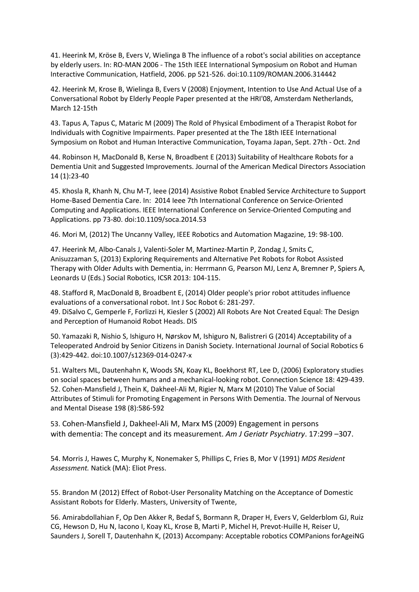41. Heerink M, Kröse B, Evers V, Wielinga B The influence of a robot's social abilities on acceptance by elderly users. In: RO-MAN 2006 - The 15th IEEE International Symposium on Robot and Human Interactive Communication, Hatfield, 2006. pp 521-526. doi:10.1109/ROMAN.2006.314442

42. Heerink M, Krose B, Wielinga B, Evers V (2008) Enjoyment, Intention to Use And Actual Use of a Conversational Robot by Elderly People Paper presented at the HRI'08, Amsterdam Netherlands, March 12-15th

43. Tapus A, Tapus C, Mataric M (2009) The Rold of Physical Embodiment of a Therapist Robot for Individuals with Cognitive Impairments. Paper presented at the The 18th IEEE International Symposium on Robot and Human Interactive Communication, Toyama Japan, Sept. 27th - Oct. 2nd

44. Robinson H, MacDonald B, Kerse N, Broadbent E (2013) Suitability of Healthcare Robots for a Dementia Unit and Suggested Improvements. Journal of the American Medical Directors Association 14 (1):23-40

45. Khosla R, Khanh N, Chu M-T, Ieee (2014) Assistive Robot Enabled Service Architecture to Support Home-Based Dementia Care. In: 2014 Ieee 7th International Conference on Service-Oriented Computing and Applications. IEEE International Conference on Service-Oriented Computing and Applications. pp 73-80. doi:10.1109/soca.2014.53

46. Mori M, (2012) The Uncanny Valley, IEEE Robotics and Automation Magazine, 19: 98-100.

47. Heerink M, Albo-Canals J, Valenti-Soler M, Martinez-Martin P, Zondag J, Smits C, Anisuzzaman S, (2013) Exploring Requirements and Alternative Pet Robots for Robot Assisted Therapy with Older Adults with Dementia, in: Herrmann G, Pearson MJ, Lenz A, Bremner P, Spiers A, Leonards U (Eds.) Social Robotics, ICSR 2013: 104-115.

48. Stafford R, MacDonald B, Broadbent E, (2014) Older people's prior robot attitudes influence evaluations of a conversational robot. Int J Soc Robot 6: 281-297. 49. DiSalvo C, Gemperle F, Forlizzi H, Kiesler S (2002) All Robots Are Not Created Equal: The Design and Perception of Humanoid Robot Heads. DIS

50. Yamazaki R, Nishio S, Ishiguro H, Nørskov M, Ishiguro N, Balistreri G (2014) Acceptability of a Teleoperated Android by Senior Citizens in Danish Society. International Journal of Social Robotics 6 (3):429-442. doi:10.1007/s12369-014-0247-x

51. Walters ML, Dautenhahn K, Woods SN, Koay KL, Boekhorst RT, Lee D, (2006) Exploratory studies on social spaces between humans and a mechanical-looking robot. Connection Science 18: 429-439. 52. Cohen-Mansfield J, Thein K, Dakheel-Ali M, Rigier N, Marx M (2010) The Value of Social Attributes of Stimuli for Promoting Engagement in Persons With Dementia. The Journal of Nervous and Mental Disease 198 (8):586-592

53. Cohen-Mansfield J, Dakheel-Ali M, Marx MS (2009) Engagement in persons with dementia: The concept and its measurement. *Am J Geriatr Psychiatry*. 17:299 –307.

54. Morris J, Hawes C, Murphy K, Nonemaker S, Phillips C, Fries B, Mor V (1991) *MDS Resident Assessment.* Natick (MA): Eliot Press.

55. Brandon M (2012) Effect of Robot-User Personality Matching on the Acceptance of Domestic Assistant Robots for Elderly. Masters, University of Twente,

56. Amirabdollahian F, Op Den Akker R, Bedaf S, Bormann R, Draper H, Evers V, Gelderblom GJ, Ruiz CG, Hewson D, Hu N, Iacono I, Koay KL, Krose B, Marti P, Michel H, Prevot-Huille H, Reiser U, Saunders J, Sorell T, Dautenhahn K, (2013) Accompany: Acceptable robotics COMPanions forAgeiNG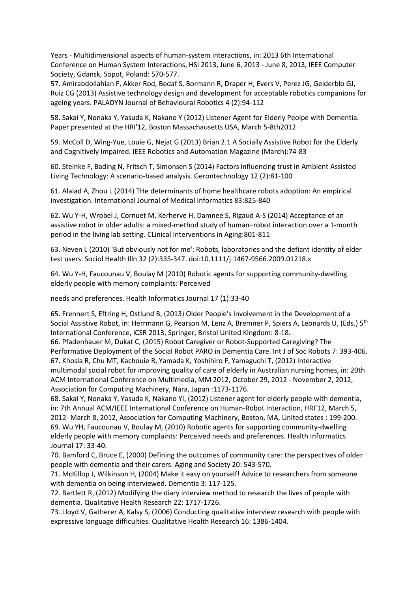Years - Multidimensional aspects of human-system interactions, in: 2013 6th International Conference on Human System Interactions, HSI 2013, June 6, 2013 - June 8, 2013, IEEE Computer Society, Gdansk, Sopot, Poland: 570-577.

57. Amirabdollahian F, Akker Rod, Bedaf S, Bormann R, Draper H, Evers V, Perez JG, Gelderblo GJ, Ruiz CG (2013) Assistive technology design and development for acceptable robotics companions for ageing years. PALADYN Journal of Behavioural Robotics 4 (2):94-112

58. Sakai Y, Nonaka Y, Yasuda K, Nakano Y (2012) Listener Agent for Elderly Peolpe with Dementia. Paper presented at the HRI'12, Boston Massachausetts USA, March 5-8th2012

59. McColl D, Wing-Yue, Louie G, Nejat G (2013) Brian 2.1 A Socially Assistive Robot for the Elderly and Cognitively Impaired. IEEE Robotics and Automation Magazine (March):74-83

60. Steinke F, Bading N, Fritsch T, Simonsen S (2014) Factors influencing trust in Ambient Assisted Living Technology: A scenario-based analysis. Gerontechnology 12 (2):81-100

61. Alaiad A, Zhou L (2014) THe determinants of home healthcare robots adoption: An empirical investigation. International Journal of Medical Informatics 83:825-840

62. Wu Y-H, Wrobel J, Cornuet M, Kerherve H, Damnee S, Rigaud A-S (2014) Acceptance of an assistive robot in older adults: a mixed-method study of human–robot interaction over a 1-month period in the living lab setting. CLinical Interventions in Aging:801-811

63. Neven L (2010) 'But obviously not for me': Robots, laboratories and the defiant identity of elder test users. Sociol Health Illn 32 (2):335-347. doi:10.1111/j.1467-9566.2009.01218.x

64. Wu Y-H, Faucounau V, Boulay M (2010) Robotic agents for supporting community-dwelling elderly people with memory complaints: Perceived

needs and preferences. Health Informatics Journal 17 (1):33-40

65. Frennert S, Eftring H, Ostlund B, (2013) Older People's Involvement in the Development of a Social Assistive Robot, in: Herrmann G, Pearson M, Lenz A, Bremner P, Spiers A, Leonards U, (Eds.) 5th International Conference, ICSR 2013, Springer, Bristol United Kingdom: 8-18.

66. Pfadenhauer M, Dukat C, (2015) Robot Caregiver or Robot-Supported Caregiving? The Performative Deployment of the Social Robot PARO in Dementia Care. Int J of Soc Robots 7: 393-406. 67. Khosla R, Chu MT, Kachouie R, Yamada K, Yoshihiro F, Yamaguchi T, (2012) Interactive multimodal social robot for improving quality of care of elderly in Australian nursing homes, in: 20th ACM International Conference on Multimedia, MM 2012, October 29, 2012 - November 2, 2012, Association for Computing Machinery, Nara, Japan :1173-1176.

68. Sakai Y, Nonaka Y, Yasuda K, Nakano YI, (2012) Listener agent for elderly people with dementia, in: 7th Annual ACM/IEEE International Conference on Human-Robot Interaction, HRI'12, March 5, 2012- March 8, 2012, Association for Computing Machinery, Boston, MA, United states : 199-200. 69. Wu YH, Faucounau V, Boulay M, (2010) Robotic agents for supporting community-dwelling elderly people with memory complaints: Perceived needs and preferences. Health Informatics Journal 17: 33-40.

70. Bamford C, Bruce E, (2000) Defining the outcomes of community care: the perspectives of older people with dementia and their carers. Aging and Society 20: 543-570.

71. McKillop J, Wilkinson H, (2004) Make it easy on yourself! Advice to researchers from someone with dementia on being interviewed. Dementia 3: 117-125.

72. Bartlett R, (2012) Modifying the diary interview method to research the lives of people with dementia. Qualitative Health Research 22: 1717-1726.

73. Lloyd V, Gatherer A, Kalsy S, (2006) Conducting qualitative interview research with people with expressive language difficulties. Qualitative Health Research 16: 1386-1404.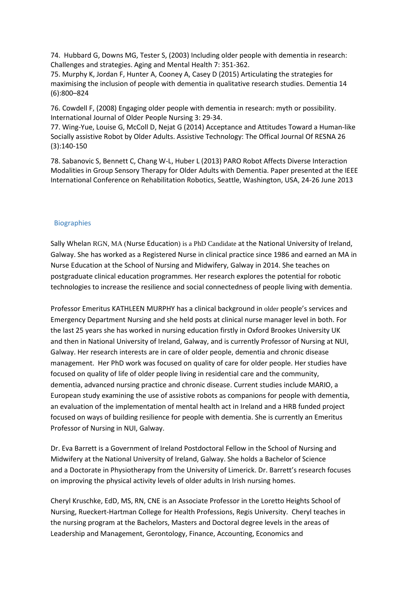74. Hubbard G, Downs MG, Tester S, (2003) Including older people with dementia in research: Challenges and strategies. Aging and Mental Health 7: 351-362.

75. Murphy K, Jordan F, Hunter A, Cooney A, Casey D (2015) Articulating the strategies for maximising the inclusion of people with dementia in qualitative research studies. Dementia 14 (6):800–824

76. Cowdell F, (2008) Engaging older people with dementia in research: myth or possibility. International Journal of Older People Nursing 3: 29-34.

77. Wing-Yue, Louise G, McColl D, Nejat G (2014) Acceptance and Attitudes Toward a Human-like Socially assistive Robot by Older Adults. Assistive Technology: The Offical Journal Of RESNA 26 (3):140-150

78. Sabanovic S, Bennett C, Chang W-L, Huber L (2013) PARO Robot Affects Diverse Interaction Modalities in Group Sensory Therapy for Older Adults with Dementia. Paper presented at the IEEE International Conference on Rehabilitation Robotics, Seattle, Washington, USA, 24-26 June 2013

## Biographies

Sally Whelan RGN, MA (Nurse Education) is a PhD Candidate at the National University of Ireland, Galway. She has worked as a Registered Nurse in clinical practice since 1986 and earned an MA in Nurse Education at the School of Nursing and Midwifery, Galway in 2014. She teaches on postgraduate clinical education programmes. Her research explores the potential for robotic technologies to increase the resilience and social connectedness of people living with dementia.

Professor Emeritus KATHLEEN MURPHY has a clinical background in older people's services and Emergency Department Nursing and she held posts at clinical nurse manager level in both. For the last 25 years she has worked in nursing education firstly in Oxford Brookes University UK and then in National University of Ireland, Galway, and is currently Professor of Nursing at NUI, Galway. Her research interests are in care of older people, dementia and chronic disease management. Her PhD work was focused on quality of care for older people. Her studies have focused on quality of life of older people living in residential care and the community, dementia, advanced nursing practice and chronic disease. Current studies include MARIO, a European study examining the use of assistive robots as companions for people with dementia, an evaluation of the implementation of mental health act in Ireland and a HRB funded project focused on ways of building resilience for people with dementia. She is currently an Emeritus Professor of Nursing in NUI, Galway.

Dr. Eva Barrett is a Government of Ireland Postdoctoral Fellow in the School of Nursing and Midwifery at the National University of Ireland, Galway. She holds a Bachelor of Science and a Doctorate in Physiotherapy from the University of Limerick. Dr. Barrett's research focuses on improving the physical activity levels of older adults in Irish nursing homes.

Cheryl Kruschke, EdD, MS, RN, CNE is an Associate Professor in the Loretto Heights School of Nursing, Rueckert-Hartman College for Health Professions, Regis University. Cheryl teaches in the nursing program at the Bachelors, Masters and Doctoral degree levels in the areas of Leadership and Management, Gerontology, Finance, Accounting, Economics and